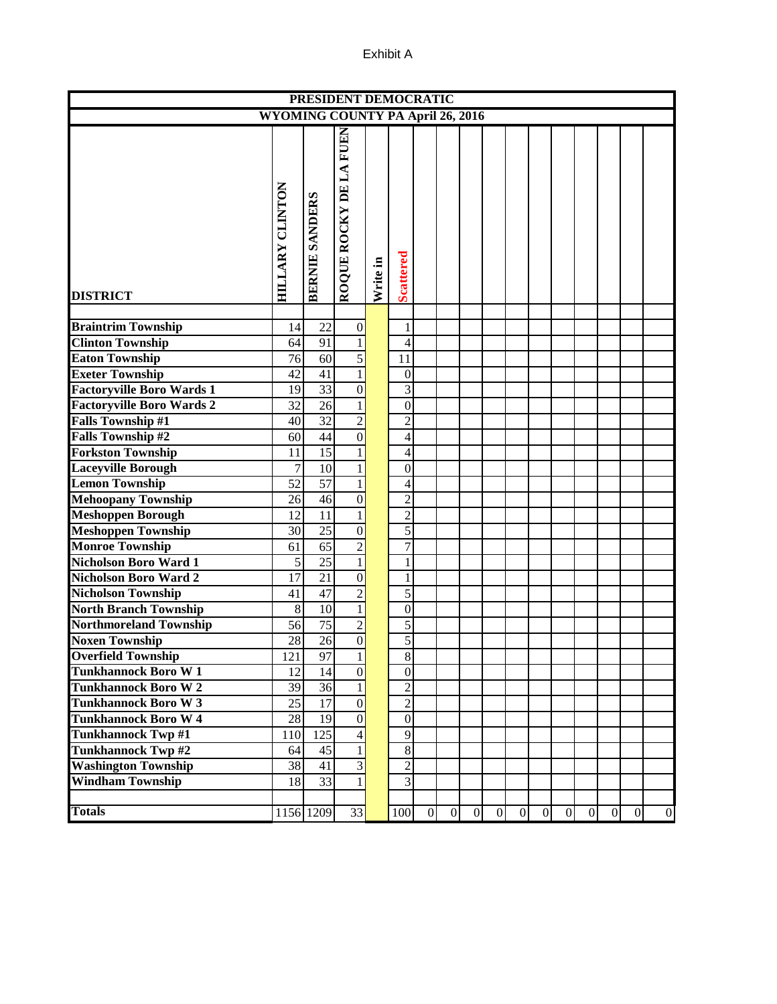|                                  |                                         |                       | PRESIDENT DEMOCRATIC   |          |                  |                |                |                |   |              |                |   |              |   |                 |                  |
|----------------------------------|-----------------------------------------|-----------------------|------------------------|----------|------------------|----------------|----------------|----------------|---|--------------|----------------|---|--------------|---|-----------------|------------------|
|                                  | <b>WYOMING COUNTY PA April 26, 2016</b> |                       |                        |          |                  |                |                |                |   |              |                |   |              |   |                 |                  |
| <b>DISTRICT</b>                  | HILLARY CLINTON                         | <b>BERNIE SANDERS</b> | ROQUE ROCKY DE LA FUEN | Write in | <b>Scattered</b> |                |                |                |   |              |                |   |              |   |                 |                  |
| <b>Braintrim Township</b>        | 14                                      | 22                    | $\mathbf{0}$           |          | 1                |                |                |                |   |              |                |   |              |   |                 |                  |
| <b>Clinton Township</b>          | 64                                      | 91                    |                        |          | 4                |                |                |                |   |              |                |   |              |   |                 |                  |
|                                  |                                         |                       |                        |          | 11               |                |                |                |   |              |                |   |              |   |                 |                  |
| <b>Eaton Township</b>            | 76                                      | 60                    | 5                      |          |                  |                |                |                |   |              |                |   |              |   |                 |                  |
| <b>Exeter Township</b>           | 42                                      | 41                    | 1                      |          | $\boldsymbol{0}$ |                |                |                |   |              |                |   |              |   |                 |                  |
| <b>Factoryville Boro Wards 1</b> | 19                                      | 33                    | $\mathbf{0}$           |          | 3                |                |                |                |   |              |                |   |              |   |                 |                  |
| <b>Factoryville Boro Wards 2</b> | 32                                      | 26                    | 1                      |          | $\overline{0}$   |                |                |                |   |              |                |   |              |   |                 |                  |
| <b>Falls Township #1</b>         | 40                                      | $\overline{32}$       | $\overline{2}$         |          | $\overline{2}$   |                |                |                |   |              |                |   |              |   |                 |                  |
| <b>Falls Township #2</b>         | 60                                      | 44                    | $\overline{0}$         |          | $\overline{4}$   |                |                |                |   |              |                |   |              |   |                 |                  |
| <b>Forkston Township</b>         | 11                                      | 15                    |                        |          | 4                |                |                |                |   |              |                |   |              |   |                 |                  |
| <b>Laceyville Borough</b>        | $\overline{7}$                          | 10                    | 1                      |          | $\mathbf{0}$     |                |                |                |   |              |                |   |              |   |                 |                  |
| <b>Lemon Township</b>            | 52                                      | 57                    | 1                      |          | $\overline{4}$   |                |                |                |   |              |                |   |              |   |                 |                  |
| <b>Mehoopany Township</b>        | 26                                      | 46                    | $\mathbf{0}$           |          | $\overline{2}$   |                |                |                |   |              |                |   |              |   |                 |                  |
| <b>Meshoppen Borough</b>         | 12                                      | 11                    | 1                      |          | $\overline{c}$   |                |                |                |   |              |                |   |              |   |                 |                  |
| <b>Meshoppen Township</b>        | 30                                      | $\overline{25}$       | $\overline{0}$         |          | 5                |                |                |                |   |              |                |   |              |   |                 |                  |
| <b>Monroe Township</b>           | 61                                      | 65                    | $\overline{2}$         |          | $\overline{7}$   |                |                |                |   |              |                |   |              |   |                 |                  |
| <b>Nicholson Boro Ward 1</b>     | 5                                       | $\overline{25}$       | $\mathbf{1}$           |          | 1                |                |                |                |   |              |                |   |              |   |                 |                  |
| <b>Nicholson Boro Ward 2</b>     | $\overline{17}$                         | 21                    | $\mathbf{0}$           |          | 1                |                |                |                |   |              |                |   |              |   |                 |                  |
| <b>Nicholson Township</b>        | 41                                      | 47                    | $\overline{2}$         |          | 5                |                |                |                |   |              |                |   |              |   |                 |                  |
| <b>North Branch Township</b>     | $\,8\,$                                 | 10                    | $\mathbf{1}$           |          | $\boldsymbol{0}$ |                |                |                |   |              |                |   |              |   |                 |                  |
| <b>Northmoreland Township</b>    | 56                                      | 75                    | $\overline{2}$         |          | 5                |                |                |                |   |              |                |   |              |   |                 |                  |
| <b>Noxen Township</b>            | 28                                      | 26                    | $\vert 0 \vert$        |          | 5                |                |                |                |   |              |                |   |              |   |                 |                  |
| <b>Overfield Township</b>        | 121                                     | 97                    | 1                      |          | $\,8\,$          |                |                |                |   |              |                |   |              |   |                 |                  |
| <b>Tunkhannock Boro W1</b>       | 12                                      | 14                    | $\boldsymbol{0}$       |          | $\boldsymbol{0}$ |                |                |                |   |              |                |   |              |   |                 |                  |
| <b>Tunkhannock Boro W2</b>       | 39                                      | 36                    | $\mathbf{1}$           |          | $\overline{2}$   |                |                |                |   |              |                |   |              |   |                 |                  |
| <b>Tunkhannock Boro W3</b>       | 25                                      | 17                    | $\boldsymbol{0}$       |          | $\overline{c}$   |                |                |                |   |              |                |   |              |   |                 |                  |
| <b>Tunkhannock Boro W4</b>       | 28                                      | 19                    | $\boldsymbol{0}$       |          | $\boldsymbol{0}$ |                |                |                |   |              |                |   |              |   |                 |                  |
| <b>Tunkhannock Twp#1</b>         | 110                                     | 125                   | 4                      |          | 9                |                |                |                |   |              |                |   |              |   |                 |                  |
| <b>Tunkhannock Twp#2</b>         | 64                                      | $\overline{45}$       | $\mathbf{1}$           |          | 8                |                |                |                |   |              |                |   |              |   |                 |                  |
| <b>Washington Township</b>       | $\overline{38}$                         | 41                    | 3                      |          | $\overline{2}$   |                |                |                |   |              |                |   |              |   |                 |                  |
| <b>Windham Township</b>          | 18                                      | $\overline{33}$       |                        |          | 3                |                |                |                |   |              |                |   |              |   |                 |                  |
|                                  |                                         |                       |                        |          |                  |                |                |                |   |              |                |   |              |   |                 |                  |
| <b>Totals</b>                    |                                         | 1156 1209             | 33                     |          | 100              | $\overline{0}$ | $\overline{0}$ | $\overline{0}$ | 0 | $\mathbf{0}$ | $\overline{0}$ | 0 | $\mathbf{0}$ | 0 | $\vert 0 \vert$ | $\boldsymbol{0}$ |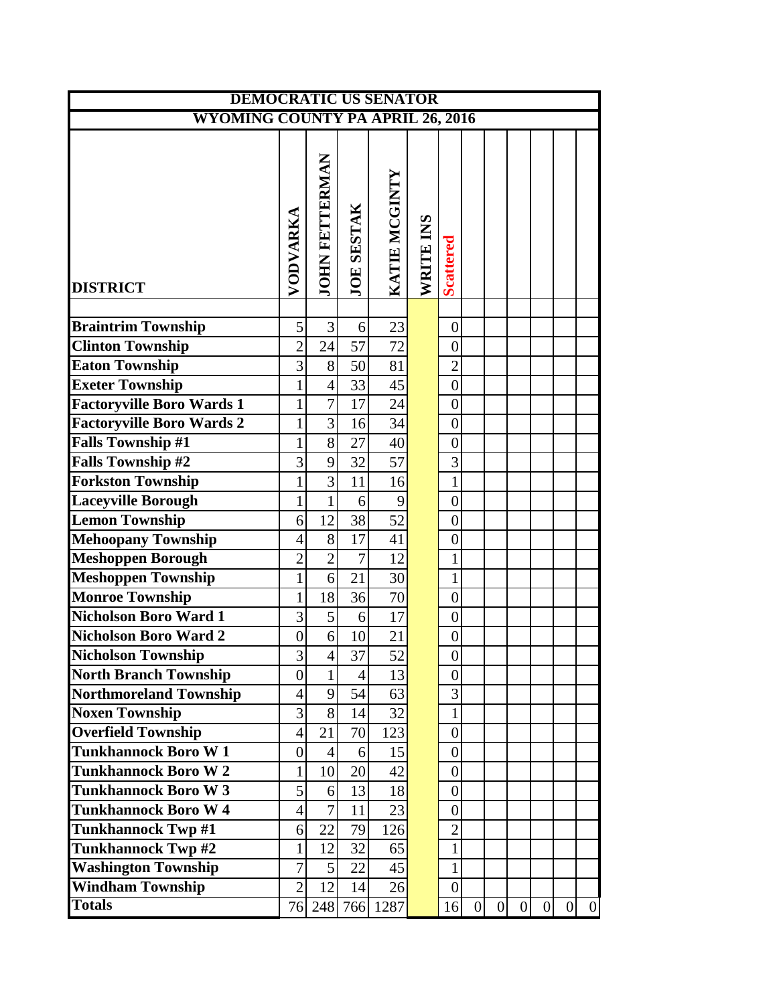| <b>DEMOCRATIC US SENATOR</b>            |                  |                       |                   |                |           |                  |                 |                |                |                |                |                  |
|-----------------------------------------|------------------|-----------------------|-------------------|----------------|-----------|------------------|-----------------|----------------|----------------|----------------|----------------|------------------|
| <b>WYOMING COUNTY PA APRIL 26, 2016</b> |                  |                       |                   |                |           |                  |                 |                |                |                |                |                  |
|                                         | VODVARKA         | <b>JOHN FETTERMAN</b> | <b>JOE SESTAK</b> | KATIE MCGINTY  | WRITE INS | <b>Scattered</b> |                 |                |                |                |                |                  |
| <b>DISTRICT</b>                         |                  |                       |                   |                |           |                  |                 |                |                |                |                |                  |
| <b>Braintrim Township</b>               | 5                | 3                     | 6                 | 23             |           | $\boldsymbol{0}$ |                 |                |                |                |                |                  |
| <b>Clinton Township</b>                 | $\overline{2}$   | 24                    | 57                | 72             |           | $\boldsymbol{0}$ |                 |                |                |                |                |                  |
| <b>Eaton Township</b>                   | $\overline{3}$   | $8\,$                 | 50                | 81             |           | $\overline{c}$   |                 |                |                |                |                |                  |
| <b>Exeter Township</b>                  | $\mathbf{1}$     | $\overline{4}$        | 33                | 45             |           | $\boldsymbol{0}$ |                 |                |                |                |                |                  |
| <b>Factoryville Boro Wards 1</b>        | $\mathbf{1}$     | $\overline{7}$        | 17                | 24             |           | $\boldsymbol{0}$ |                 |                |                |                |                |                  |
| Factoryville Boro Wards 2               | $\mathbf{1}$     | 3                     | 16                | 34             |           | $\boldsymbol{0}$ |                 |                |                |                |                |                  |
| <b>Falls Township #1</b>                | $\mathbf{1}$     | 8                     | 27                | 40             |           | $\boldsymbol{0}$ |                 |                |                |                |                |                  |
| <b>Falls Township #2</b>                | 3                | 9                     | 32                | 57             |           | 3                |                 |                |                |                |                |                  |
| <b>Forkston Township</b>                | $\mathbf{1}$     | $\overline{3}$        | 11                | 16             |           | $\mathbf{1}$     |                 |                |                |                |                |                  |
| <b>Laceyville Borough</b>               | $\mathbf{1}$     | $\mathbf{1}$          | $6 \mid$          | $\overline{9}$ |           | $\boldsymbol{0}$ |                 |                |                |                |                |                  |
| <b>Lemon Township</b>                   | 6                | 12                    | 38                | 52             |           | $\overline{0}$   |                 |                |                |                |                |                  |
| <b>Mehoopany Township</b>               | $\overline{4}$   | 8                     | 17                | 41             |           | $\boldsymbol{0}$ |                 |                |                |                |                |                  |
| <b>Meshoppen Borough</b>                | $\overline{2}$   | $\overline{2}$        | $\overline{7}$    | 12             |           | $\mathbf{1}$     |                 |                |                |                |                |                  |
| <b>Meshoppen Township</b>               | $\mathbf{1}$     | 6                     | 21                | 30             |           | $\mathbf 1$      |                 |                |                |                |                |                  |
| <b>Monroe Township</b>                  | $\mathbf{1}$     | 18                    | 36                | 70             |           | $\overline{0}$   |                 |                |                |                |                |                  |
| <b>Nicholson Boro Ward 1</b>            | 3                | 5                     | $6 \mid$          | 17             |           | $\boldsymbol{0}$ |                 |                |                |                |                |                  |
| <b>Nicholson Boro Ward 2</b>            | $\boldsymbol{0}$ | 6                     | 10                | 21             |           | $\boldsymbol{0}$ |                 |                |                |                |                |                  |
| <b>Nicholson Township</b>               | $\overline{3}$   | $\overline{4}$        | 37                | 52             |           | $\boldsymbol{0}$ |                 |                |                |                |                |                  |
| <b>North Branch Township</b>            | $\boldsymbol{0}$ | $\mathbf{1}$          | $\overline{4}$    | 13             |           | $\boldsymbol{0}$ |                 |                |                |                |                |                  |
| <b>Northmoreland Township</b>           | $\overline{4}$   | 9                     | 54                | 63             |           | 3                |                 |                |                |                |                |                  |
| <b>Noxen Township</b>                   | 3                | 8                     | 14                | 32             |           | 1                |                 |                |                |                |                |                  |
| <b>Overfield Township</b>               | $\overline{4}$   | 21                    | 70                | 123            |           | $\boldsymbol{0}$ |                 |                |                |                |                |                  |
| <b>Tunkhannock Boro W1</b>              | $\boldsymbol{0}$ | $\overline{4}$        | $6 \overline{6}$  | 15             |           | $\boldsymbol{0}$ |                 |                |                |                |                |                  |
| <b>Tunkhannock Boro W2</b>              | $\mathbf{1}$     | 10                    | 20                | 42             |           | $\overline{0}$   |                 |                |                |                |                |                  |
| <b>Tunkhannock Boro W3</b>              | 5                | 6                     | 13                | 18             |           | $\boldsymbol{0}$ |                 |                |                |                |                |                  |
| <b>Tunkhannock Boro W4</b>              | $\overline{4}$   | $\overline{7}$        | 11                | 23             |           | $\boldsymbol{0}$ |                 |                |                |                |                |                  |
| <b>Tunkhannock Twp #1</b>               | 6                | 22                    | 79                | 126            |           | $\overline{c}$   |                 |                |                |                |                |                  |
| <b>Tunkhannock Twp#2</b>                | $\mathbf 1$      | 12                    | 32                | 65             |           | $\mathbf{1}$     |                 |                |                |                |                |                  |
| <b>Washington Township</b>              | $\overline{7}$   | 5                     | 22                | 45             |           | $\mathbf{1}$     |                 |                |                |                |                |                  |
| <b>Windham Township</b>                 | $\overline{2}$   | 12                    | 14                | 26             |           | $\overline{0}$   |                 |                |                |                |                |                  |
| <b>Totals</b>                           | 76               |                       | 248 766           | 1287           |           | 16               | $\vert 0 \vert$ | $\overline{0}$ | $\overline{0}$ | $\overline{0}$ | $\overline{0}$ | $\boldsymbol{0}$ |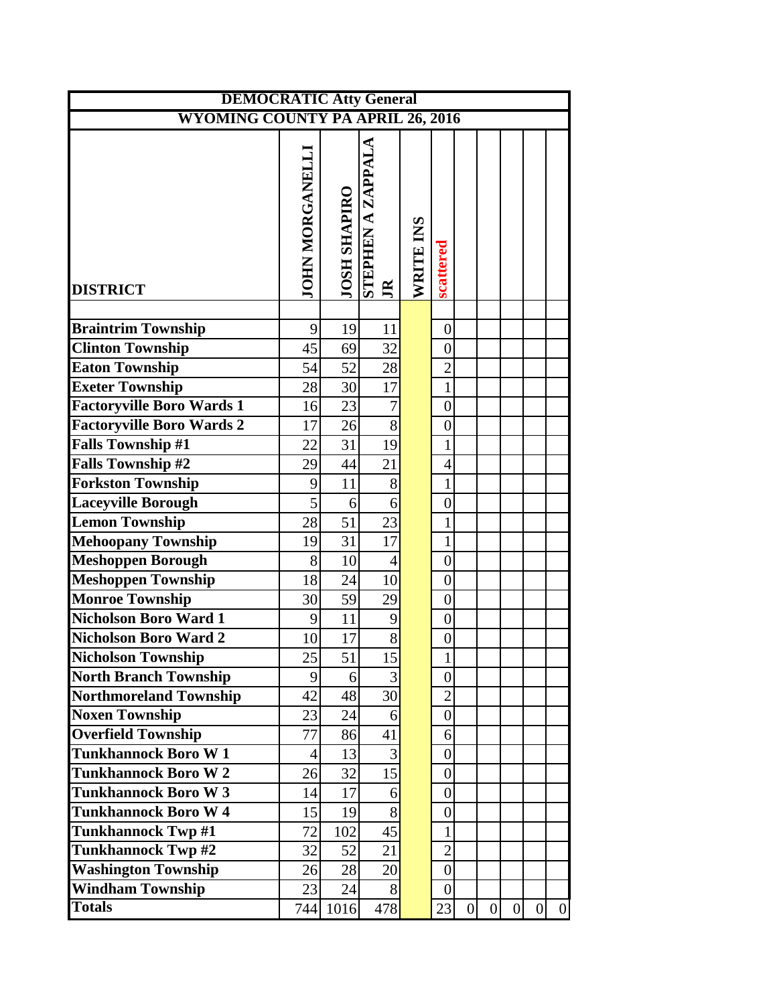| <b>DEMOCRATIC Atty General</b>          |                       |                     |                                             |           |                  |                  |                |                  |   |          |
|-----------------------------------------|-----------------------|---------------------|---------------------------------------------|-----------|------------------|------------------|----------------|------------------|---|----------|
| <b>WYOMING COUNTY PA APRIL 26, 2016</b> |                       |                     |                                             |           |                  |                  |                |                  |   |          |
| <b>DISTRICT</b>                         | <b>JOHN MORGANELL</b> | <b>JOSH SHAPIRO</b> | <b>VTV JJVZ V NAH JALIS</b><br>$\mathbb{R}$ | WRITE INS | scattered        |                  |                |                  |   |          |
|                                         |                       |                     |                                             |           |                  |                  |                |                  |   |          |
| <b>Braintrim Township</b>               | 9                     | 19                  | 11                                          |           | $\boldsymbol{0}$ |                  |                |                  |   |          |
| <b>Clinton Township</b>                 | 45                    | 69                  | 32                                          |           | $\overline{0}$   |                  |                |                  |   |          |
| <b>Eaton Township</b>                   | 54                    | 52                  | 28                                          |           | $\overline{2}$   |                  |                |                  |   |          |
| <b>Exeter Township</b>                  | 28                    | $30$                | 17                                          |           | $\mathbf{1}$     |                  |                |                  |   |          |
| <b>Factoryville Boro Wards 1</b>        | 16                    | 23                  | $\overline{7}$                              |           | $\boldsymbol{0}$ |                  |                |                  |   |          |
| <b>Factoryville Boro Wards 2</b>        | 17                    | 26                  | $\overline{8}$                              |           | $\boldsymbol{0}$ |                  |                |                  |   |          |
| <b>Falls Township #1</b>                | 22                    | 31                  | 19                                          |           | $\mathbf 1$      |                  |                |                  |   |          |
| <b>Falls Township #2</b>                | 29                    | 44                  | 21                                          |           | $\overline{4}$   |                  |                |                  |   |          |
| <b>Forkston Township</b>                | 9                     | 11                  | 8                                           |           | $\mathbf{1}$     |                  |                |                  |   |          |
| <b>Laceyville Borough</b>               | 5                     | 6 <sup>1</sup>      | 6                                           |           | $\overline{0}$   |                  |                |                  |   |          |
| <b>Lemon Township</b>                   | 28                    | 51                  | 23                                          |           | $\mathbf{1}$     |                  |                |                  |   |          |
| <b>Mehoopany Township</b>               | 19                    | 31                  | $\overline{17}$                             |           | $\mathbf{1}$     |                  |                |                  |   |          |
| <b>Meshoppen Borough</b>                | 8                     | 10                  | $\overline{4}$                              |           | $\boldsymbol{0}$ |                  |                |                  |   |          |
| <b>Meshoppen Township</b>               | 18                    | 24                  | 10                                          |           | $\overline{0}$   |                  |                |                  |   |          |
| <b>Monroe Township</b>                  | 30                    | 59                  | 29                                          |           | $\boldsymbol{0}$ |                  |                |                  |   |          |
| <b>Nicholson Boro Ward 1</b>            | 9                     | 11                  | 9                                           |           | $\overline{0}$   |                  |                |                  |   |          |
| <b>Nicholson Boro Ward 2</b>            | 10                    | 17                  | 8                                           |           | $\boldsymbol{0}$ |                  |                |                  |   |          |
| Nicholson Township                      | $\overline{25}$       | $\overline{51}$     | $\overline{15}$                             |           | $\mathbf{1}$     |                  |                |                  |   |          |
| <b>North Branch Township</b>            | 9                     | 6 <sup>1</sup>      | 3                                           |           | $\overline{0}$   |                  |                |                  |   |          |
| Northmoreland Township                  | 42                    | 48                  | 30                                          |           | $\overline{2}$   |                  |                |                  |   |          |
| <b>Noxen Township</b>                   | 23                    | 24                  | 6                                           |           | $\boldsymbol{0}$ |                  |                |                  |   |          |
| <b>Overfield Township</b>               | 77                    | 86                  | 41                                          |           | 6                |                  |                |                  |   |          |
| <b>Tunkhannock Boro W1</b>              | $\overline{4}$        | 13                  | 3                                           |           | $\overline{0}$   |                  |                |                  |   |          |
| <b>Tunkhannock Boro W2</b>              | 26                    | 32                  | 15                                          |           | $\boldsymbol{0}$ |                  |                |                  |   |          |
| <b>Tunkhannock Boro W3</b>              | 14                    | 17                  | 6                                           |           | $\boldsymbol{0}$ |                  |                |                  |   |          |
| <b>Tunkhannock Boro W4</b>              | 15                    | 19                  | 8                                           |           | $\boldsymbol{0}$ |                  |                |                  |   |          |
| <b>Tunkhannock Twp #1</b>               | 72                    | 102                 | 45                                          |           | $\mathbf{1}$     |                  |                |                  |   |          |
| <b>Tunkhannock Twp #2</b>               | 32                    | 52                  | 21                                          |           | $\overline{2}$   |                  |                |                  |   |          |
| <b>Washington Township</b>              | 26                    | 28                  | 20                                          |           | $\boldsymbol{0}$ |                  |                |                  |   |          |
| <b>Windham Township</b>                 | 23                    | 24                  | 8                                           |           | $\overline{0}$   |                  |                |                  |   |          |
| <b>Totals</b>                           | 744                   | 1016                | 478                                         |           | 23               | $\boldsymbol{0}$ | $\overline{0}$ | $\boldsymbol{0}$ | 0 | $\theta$ |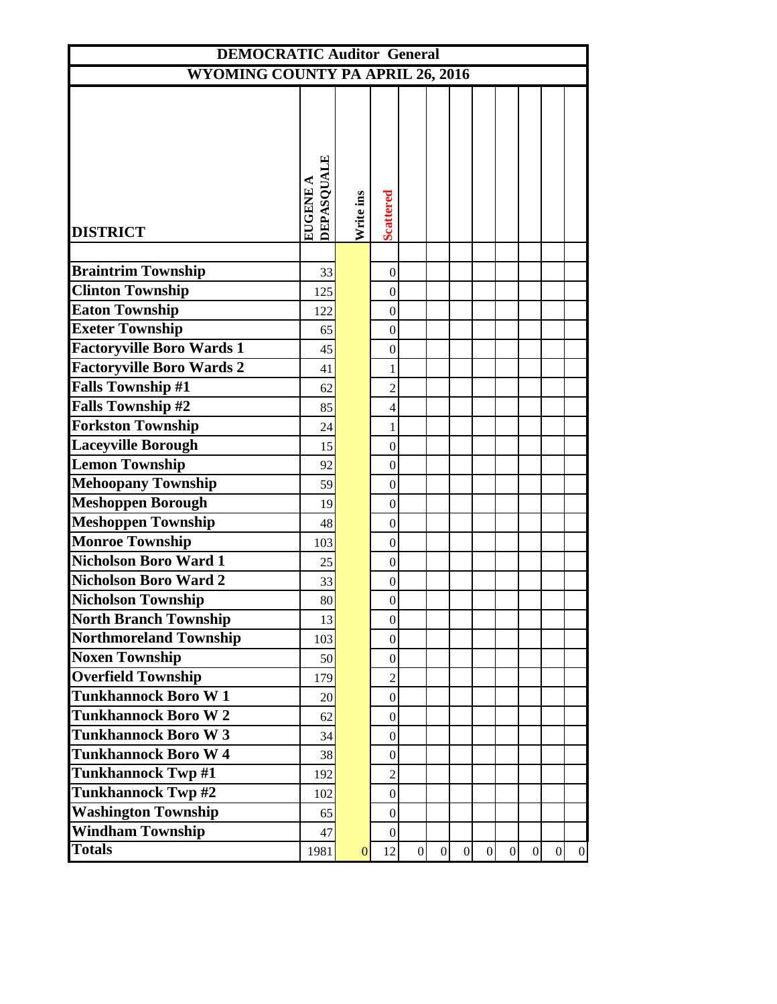| <b>DEMOCRATIC Auditor General</b>       |                        |              |                  |                 |                |                |                |                |                |                |                |
|-----------------------------------------|------------------------|--------------|------------------|-----------------|----------------|----------------|----------------|----------------|----------------|----------------|----------------|
| <b>WYOMING COUNTY PA APRIL 26, 2016</b> |                        |              |                  |                 |                |                |                |                |                |                |                |
|                                         |                        |              |                  |                 |                |                |                |                |                |                |                |
| <b>DISTRICT</b>                         | DEPASQUALE<br>EUGENE A | Write ins    | <b>Scattered</b> |                 |                |                |                |                |                |                |                |
|                                         |                        |              |                  |                 |                |                |                |                |                |                |                |
| <b>Braintrim Township</b>               | 33                     |              | $\boldsymbol{0}$ |                 |                |                |                |                |                |                |                |
| <b>Clinton Township</b>                 | 125                    |              | $\boldsymbol{0}$ |                 |                |                |                |                |                |                |                |
| <b>Eaton Township</b>                   | 122                    |              | $\boldsymbol{0}$ |                 |                |                |                |                |                |                |                |
| <b>Exeter Township</b>                  | 65                     |              | $\boldsymbol{0}$ |                 |                |                |                |                |                |                |                |
| <b>Factoryville Boro Wards 1</b>        | 45                     |              | $\boldsymbol{0}$ |                 |                |                |                |                |                |                |                |
| <b>Factoryville Boro Wards 2</b>        | 41                     |              | $\mathbf{1}$     |                 |                |                |                |                |                |                |                |
| <b>Falls Township #1</b>                | 62                     |              | $\overline{2}$   |                 |                |                |                |                |                |                |                |
| <b>Falls Township #2</b>                | 85                     |              | $\overline{4}$   |                 |                |                |                |                |                |                |                |
| <b>Forkston Township</b>                | 24                     |              | $\mathbf 1$      |                 |                |                |                |                |                |                |                |
| <b>Laceyville Borough</b>               | 15                     |              | $\boldsymbol{0}$ |                 |                |                |                |                |                |                |                |
| <b>Lemon Township</b>                   | 92                     |              | $\boldsymbol{0}$ |                 |                |                |                |                |                |                |                |
| <b>Mehoopany Township</b>               | 59                     |              | $\boldsymbol{0}$ |                 |                |                |                |                |                |                |                |
| <b>Meshoppen Borough</b>                | 19                     |              | $\boldsymbol{0}$ |                 |                |                |                |                |                |                |                |
| <b>Meshoppen Township</b>               | 48                     |              | $\boldsymbol{0}$ |                 |                |                |                |                |                |                |                |
| <b>Monroe Township</b>                  | 103                    |              | $\boldsymbol{0}$ |                 |                |                |                |                |                |                |                |
| <b>Nicholson Boro Ward 1</b>            | 25                     |              | $\boldsymbol{0}$ |                 |                |                |                |                |                |                |                |
| <b>Nicholson Boro Ward 2</b>            | 33                     |              | $\boldsymbol{0}$ |                 |                |                |                |                |                |                |                |
| <b>Nicholson Township</b>               | 80                     |              | $\boldsymbol{0}$ |                 |                |                |                |                |                |                |                |
| <b>North Branch Township</b>            | 13                     |              | $\vert 0 \vert$  |                 |                |                |                |                |                |                |                |
| Northmoreland Township                  | 103                    |              | $\boldsymbol{0}$ |                 |                |                |                |                |                |                |                |
| <b>Noxen Township</b>                   | 50                     |              | $\overline{0}$   |                 |                |                |                |                |                |                |                |
| <b>Overfield Township</b>               | 179                    |              | $\sqrt{2}$       |                 |                |                |                |                |                |                |                |
| <b>Tunkhannock Boro W1</b>              | 20                     |              | $\overline{0}$   |                 |                |                |                |                |                |                |                |
| <b>Tunkhannock Boro W2</b>              | 62                     |              | $\boldsymbol{0}$ |                 |                |                |                |                |                |                |                |
| <b>Tunkhannock Boro W3</b>              | 34                     |              | $\overline{0}$   |                 |                |                |                |                |                |                |                |
| <b>Tunkhannock Boro W4</b>              | 38                     |              | $\boldsymbol{0}$ |                 |                |                |                |                |                |                |                |
| <b>Tunkhannock Twp #1</b>               | 192                    |              | $\overline{2}$   |                 |                |                |                |                |                |                |                |
| <b>Tunkhannock Twp #2</b>               | 102                    |              | $\overline{0}$   |                 |                |                |                |                |                |                |                |
| <b>Washington Township</b>              | 65                     |              | $\boldsymbol{0}$ |                 |                |                |                |                |                |                |                |
| <b>Windham Township</b>                 | 47                     |              | $\overline{0}$   |                 |                |                |                |                |                |                |                |
| <b>Totals</b>                           | 1981                   | $\mathbf{0}$ | 12               | $\vert 0 \vert$ | $\overline{0}$ | $\overline{0}$ | $\overline{0}$ | $\overline{0}$ | $\overline{0}$ | $\overline{0}$ | $\overline{0}$ |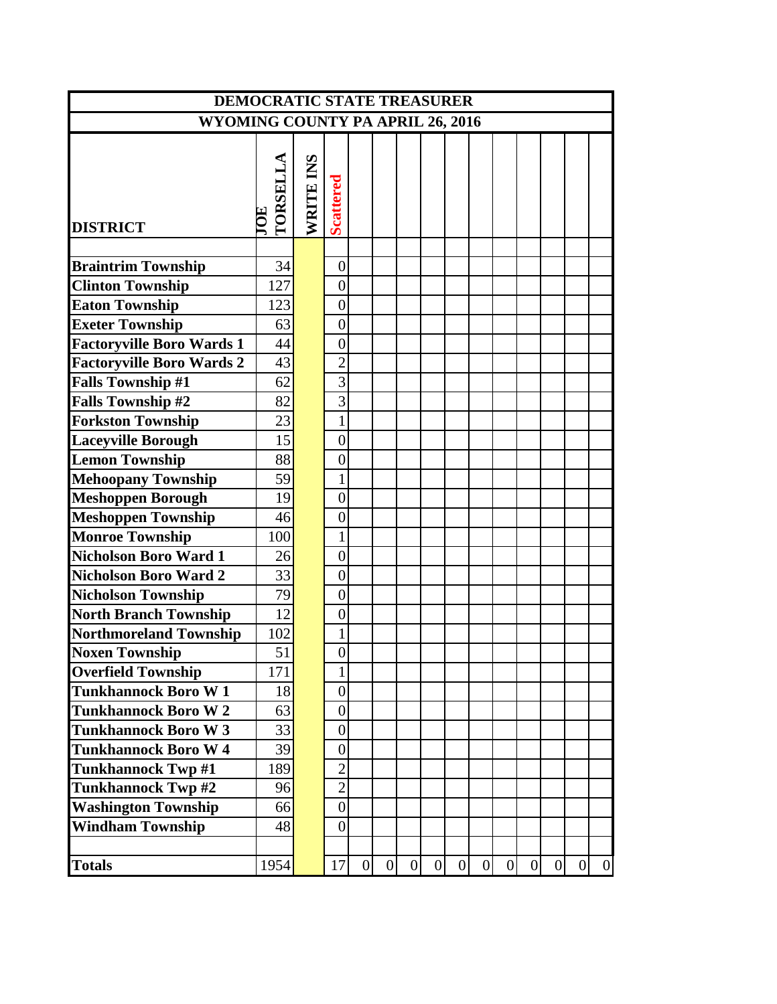| <b>DEMOCRATIC STATE TREASURER</b>       |          |           |                  |                |                |                |                |                |                |   |                |                 |                 |                |
|-----------------------------------------|----------|-----------|------------------|----------------|----------------|----------------|----------------|----------------|----------------|---|----------------|-----------------|-----------------|----------------|
| <b>WYOMING COUNTY PA APRIL 26, 2016</b> |          |           |                  |                |                |                |                |                |                |   |                |                 |                 |                |
|                                         |          |           |                  |                |                |                |                |                |                |   |                |                 |                 |                |
|                                         |          |           |                  |                |                |                |                |                |                |   |                |                 |                 |                |
|                                         | TORSELLA | WRITE INS |                  |                |                |                |                |                |                |   |                |                 |                 |                |
|                                         |          |           |                  |                |                |                |                |                |                |   |                |                 |                 |                |
| <b>DISTRICT</b>                         |          |           | <b>Scattered</b> |                |                |                |                |                |                |   |                |                 |                 |                |
|                                         |          |           |                  |                |                |                |                |                |                |   |                |                 |                 |                |
| <b>Braintrim Township</b>               | 34       |           | $\boldsymbol{0}$ |                |                |                |                |                |                |   |                |                 |                 |                |
| <b>Clinton Township</b>                 | 127      |           | $\overline{0}$   |                |                |                |                |                |                |   |                |                 |                 |                |
| <b>Eaton Township</b>                   | 123      |           | $\overline{0}$   |                |                |                |                |                |                |   |                |                 |                 |                |
| <b>Exeter Township</b>                  | 63       |           | $\overline{0}$   |                |                |                |                |                |                |   |                |                 |                 |                |
| <b>Factoryville Boro Wards 1</b>        | 44       |           | $\overline{0}$   |                |                |                |                |                |                |   |                |                 |                 |                |
| <b>Factoryville Boro Wards 2</b>        | 43       |           | $\overline{2}$   |                |                |                |                |                |                |   |                |                 |                 |                |
| <b>Falls Township #1</b>                | 62       |           | 3                |                |                |                |                |                |                |   |                |                 |                 |                |
| <b>Falls Township #2</b>                | 82       |           | 3                |                |                |                |                |                |                |   |                |                 |                 |                |
| <b>Forkston Township</b>                | 23       |           | $\mathbf{1}$     |                |                |                |                |                |                |   |                |                 |                 |                |
| <b>Laceyville Borough</b>               | 15       |           | $\overline{0}$   |                |                |                |                |                |                |   |                |                 |                 |                |
| <b>Lemon Township</b>                   | 88       |           | $\overline{0}$   |                |                |                |                |                |                |   |                |                 |                 |                |
| <b>Mehoopany Township</b>               | 59       |           | 1                |                |                |                |                |                |                |   |                |                 |                 |                |
| <b>Meshoppen Borough</b>                | 19       |           | $\overline{0}$   |                |                |                |                |                |                |   |                |                 |                 |                |
| <b>Meshoppen Township</b>               | 46       |           | $\boldsymbol{0}$ |                |                |                |                |                |                |   |                |                 |                 |                |
| <b>Monroe Township</b>                  | 100      |           | $\mathbf{1}$     |                |                |                |                |                |                |   |                |                 |                 |                |
| <b>Nicholson Boro Ward 1</b>            | 26       |           | $\overline{0}$   |                |                |                |                |                |                |   |                |                 |                 |                |
| <b>Nicholson Boro Ward 2</b>            | 33       |           | $\overline{0}$   |                |                |                |                |                |                |   |                |                 |                 |                |
| <b>Nicholson Township</b>               | 79       |           | $\overline{0}$   |                |                |                |                |                |                |   |                |                 |                 |                |
| <b>North Branch Township</b>            | 12       |           | $\overline{0}$   |                |                |                |                |                |                |   |                |                 |                 |                |
| <b>Northmoreland Township</b>           | 102      |           | 1                |                |                |                |                |                |                |   |                |                 |                 |                |
| <b>Noxen Township</b>                   | 51       |           | $\overline{0}$   |                |                |                |                |                |                |   |                |                 |                 |                |
| <b>Overfield Township</b>               | 171      |           | $\mathbf{1}$     |                |                |                |                |                |                |   |                |                 |                 |                |
| <b>Tunkhannock Boro W1</b>              | 18       |           | $\boldsymbol{0}$ |                |                |                |                |                |                |   |                |                 |                 |                |
| <b>Tunkhannock Boro W2</b>              | 63       |           | $\overline{0}$   |                |                |                |                |                |                |   |                |                 |                 |                |
| <b>Tunkhannock Boro W3</b>              | 33       |           | $\boldsymbol{0}$ |                |                |                |                |                |                |   |                |                 |                 |                |
| <b>Tunkhannock Boro W4</b>              | 39       |           | $\boldsymbol{0}$ |                |                |                |                |                |                |   |                |                 |                 |                |
| <b>Tunkhannock Twp #1</b>               | 189      |           | $\mathbf{2}$     |                |                |                |                |                |                |   |                |                 |                 |                |
| Tunkhannock Twp #2                      | 96       |           | $\overline{2}$   |                |                |                |                |                |                |   |                |                 |                 |                |
| <b>Washington Township</b>              | 66       |           | $\boldsymbol{0}$ |                |                |                |                |                |                |   |                |                 |                 |                |
| <b>Windham Township</b>                 | 48       |           | $\overline{0}$   |                |                |                |                |                |                |   |                |                 |                 |                |
|                                         |          |           |                  |                |                |                |                |                |                |   |                |                 |                 |                |
| <b>Totals</b>                           | 1954     |           | 17               | $\overline{0}$ | $\overline{0}$ | $\overline{0}$ | $\overline{0}$ | $\overline{0}$ | $\overline{0}$ | 0 | $\overline{0}$ | $\vert 0 \vert$ | $\vert 0 \vert$ | $\overline{0}$ |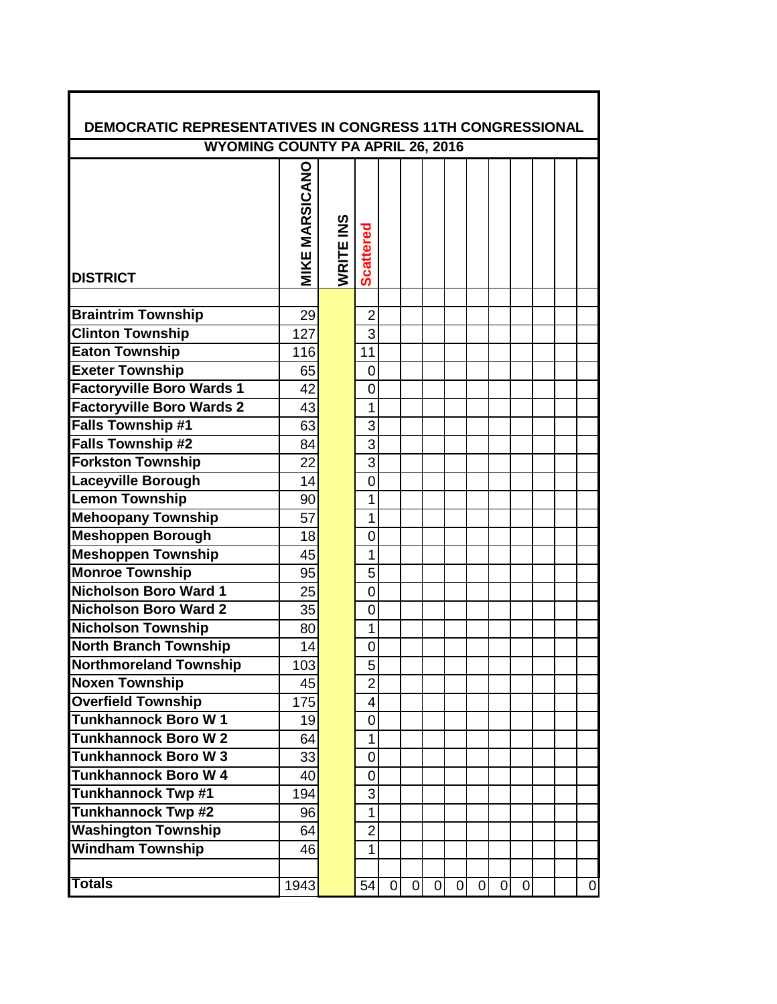| <b>DEMOCRATIC REPRESENTATIVES IN CONGRESS 11TH CONGRESSIONAL</b> |                       |           |                  |                |                |   |             |                |                |             |  |          |
|------------------------------------------------------------------|-----------------------|-----------|------------------|----------------|----------------|---|-------------|----------------|----------------|-------------|--|----------|
| <b>WYOMING COUNTY PA APRIL 26, 2016</b>                          |                       |           |                  |                |                |   |             |                |                |             |  |          |
| <b>DISTRICT</b>                                                  | <b>MIKE MARSICANO</b> | WRITE INS | <b>Scattered</b> |                |                |   |             |                |                |             |  |          |
|                                                                  |                       |           |                  |                |                |   |             |                |                |             |  |          |
| <b>Braintrim Township</b>                                        | 29                    |           | $\overline{2}$   |                |                |   |             |                |                |             |  |          |
| <b>Clinton Township</b>                                          | 127                   |           | 3                |                |                |   |             |                |                |             |  |          |
| <b>Eaton Township</b>                                            | 116                   |           | 11               |                |                |   |             |                |                |             |  |          |
| <b>Exeter Township</b>                                           | 65                    |           | $\overline{0}$   |                |                |   |             |                |                |             |  |          |
| <b>Factoryville Boro Wards 1</b>                                 | 42                    |           | 0                |                |                |   |             |                |                |             |  |          |
| <b>Factoryville Boro Wards 2</b>                                 | 43                    |           | 1                |                |                |   |             |                |                |             |  |          |
| <b>Falls Township #1</b>                                         | 63                    |           | 3                |                |                |   |             |                |                |             |  |          |
| <b>Falls Township #2</b>                                         | 84                    |           | 3                |                |                |   |             |                |                |             |  |          |
| <b>Forkston Township</b>                                         | 22                    |           | 3                |                |                |   |             |                |                |             |  |          |
| <b>Laceyville Borough</b>                                        | 14                    |           | $\mathbf 0$      |                |                |   |             |                |                |             |  |          |
| <b>Lemon Township</b>                                            | 90                    |           | 1                |                |                |   |             |                |                |             |  |          |
| <b>Mehoopany Township</b>                                        | 57                    |           | 1                |                |                |   |             |                |                |             |  |          |
| <b>Meshoppen Borough</b>                                         | 18                    |           | 0                |                |                |   |             |                |                |             |  |          |
| <b>Meshoppen Township</b>                                        | 45                    |           | 1                |                |                |   |             |                |                |             |  |          |
| <b>Monroe Township</b>                                           | 95                    |           | 5                |                |                |   |             |                |                |             |  |          |
| <b>Nicholson Boro Ward 1</b>                                     | 25                    |           | $\overline{0}$   |                |                |   |             |                |                |             |  |          |
| <b>Nicholson Boro Ward 2</b>                                     | 35                    |           | $\overline{0}$   |                |                |   |             |                |                |             |  |          |
| <b>Nicholson Township</b>                                        | 80                    |           | 1                |                |                |   |             |                |                |             |  |          |
| <b>North Branch Township</b>                                     | 14                    |           | 0                |                |                |   |             |                |                |             |  |          |
| <b>Northmoreland Township</b>                                    | 103                   |           | 5                |                |                |   |             |                |                |             |  |          |
| <b>Noxen Township</b>                                            | 45                    |           | $\overline{2}$   |                |                |   |             |                |                |             |  |          |
| <b>Overfield Township</b>                                        | 175                   |           | $\overline{4}$   |                |                |   |             |                |                |             |  |          |
| <b>Tunkhannock Boro W1</b>                                       | 19                    |           | $\overline{0}$   |                |                |   |             |                |                |             |  |          |
| <b>Tunkhannock Boro W2</b>                                       | 64                    |           | 1                |                |                |   |             |                |                |             |  |          |
| <b>Tunkhannock Boro W3</b>                                       | 33                    |           | $\mathbf 0$      |                |                |   |             |                |                |             |  |          |
| <b>Tunkhannock Boro W 4</b>                                      | 40                    |           | 0                |                |                |   |             |                |                |             |  |          |
| <b>Tunkhannock Twp #1</b>                                        | 194                   |           | 3                |                |                |   |             |                |                |             |  |          |
| <b>Tunkhannock Twp #2</b>                                        | 96                    |           | 1                |                |                |   |             |                |                |             |  |          |
| <b>Washington Township</b>                                       | 64                    |           | $\overline{2}$   |                |                |   |             |                |                |             |  |          |
| <b>Windham Township</b>                                          | 46                    |           | 1                |                |                |   |             |                |                |             |  |          |
|                                                                  |                       |           |                  |                |                |   |             |                |                |             |  |          |
| <b>Totals</b>                                                    | 1943                  |           | 54               | $\overline{0}$ | $\overline{0}$ | 0 | $\mathbf 0$ | $\overline{0}$ | $\overline{0}$ | $\mathbf 0$ |  | $\Omega$ |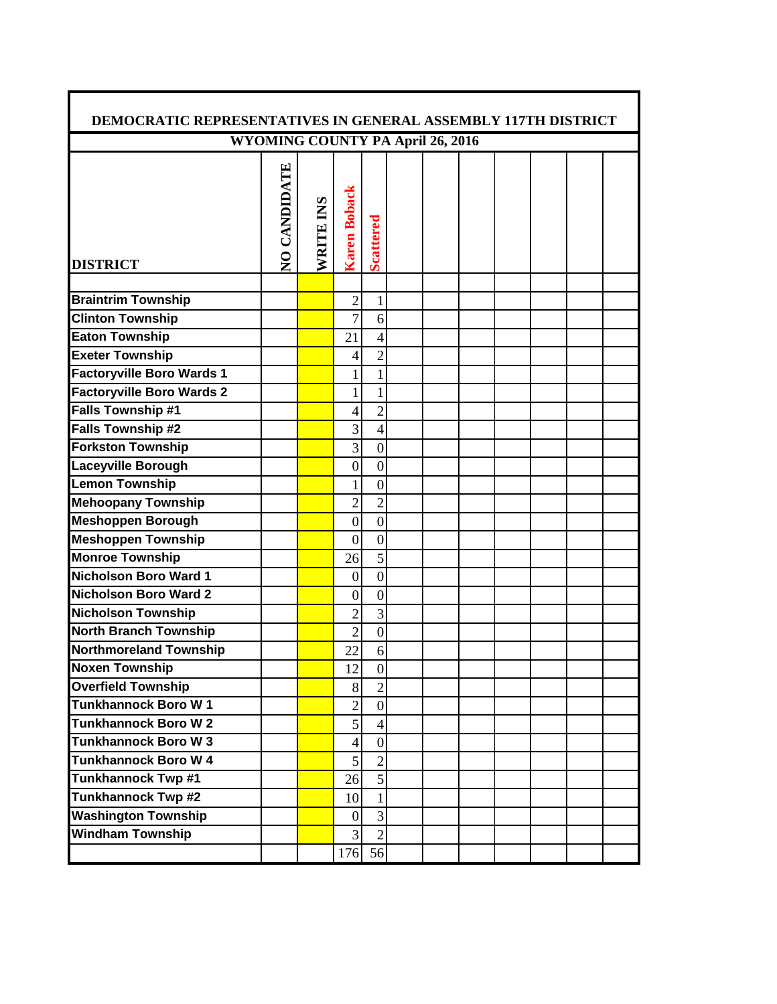| <b>DEMOCRATIC REPRESENTATIVES IN GENERAL ASSEMBLY 117TH DISTRICT</b> |                                  |           |                          |                  |  |  |  |  |
|----------------------------------------------------------------------|----------------------------------|-----------|--------------------------|------------------|--|--|--|--|
|                                                                      | WYOMING COUNTY PA April 26, 2016 |           |                          |                  |  |  |  |  |
| <b>DISTRICT</b>                                                      | NO CANDIDATE                     | WRITE INS | <b>Karen Boback</b>      | <b>Scattered</b> |  |  |  |  |
|                                                                      |                                  |           |                          |                  |  |  |  |  |
| <b>Braintrim Township</b>                                            |                                  |           | $\overline{2}$           | 1                |  |  |  |  |
| <b>Clinton Township</b>                                              |                                  |           | $\overline{7}$           | 6                |  |  |  |  |
| <b>Eaton Township</b>                                                |                                  |           | 21                       | 4                |  |  |  |  |
| <b>Exeter Township</b>                                               |                                  |           | 4                        | $\overline{2}$   |  |  |  |  |
| <b>Factoryville Boro Wards 1</b>                                     |                                  |           | 1                        | $\mathbf{1}$     |  |  |  |  |
| <b>Factoryville Boro Wards 2</b>                                     |                                  |           | $\mathbf{1}$             | $\mathbf{1}$     |  |  |  |  |
| Falls Township #1                                                    |                                  |           | 4                        | $\overline{c}$   |  |  |  |  |
| <b>Falls Township #2</b>                                             |                                  |           | 3                        | 4                |  |  |  |  |
| <b>Forkston Township</b>                                             |                                  |           | 3                        | $\boldsymbol{0}$ |  |  |  |  |
| <b>Laceyville Borough</b>                                            |                                  |           | $\boldsymbol{0}$         | $\mathbf{0}$     |  |  |  |  |
| <b>Lemon Township</b>                                                |                                  |           | $\mathbf{1}$             | $\overline{0}$   |  |  |  |  |
| <b>Mehoopany Township</b>                                            |                                  |           | $\overline{2}$           | $\overline{2}$   |  |  |  |  |
| <b>Meshoppen Borough</b>                                             |                                  |           | $\boldsymbol{0}$         | $\boldsymbol{0}$ |  |  |  |  |
| <b>Meshoppen Township</b>                                            |                                  |           | $\boldsymbol{0}$         | $\boldsymbol{0}$ |  |  |  |  |
| <b>Monroe Township</b>                                               |                                  |           | 26                       | 5                |  |  |  |  |
| Nicholson Boro Ward 1                                                |                                  |           | $\boldsymbol{0}$         | $\overline{0}$   |  |  |  |  |
| Nicholson Boro Ward 2                                                |                                  |           | $\boldsymbol{0}$         | $\mathbf{0}$     |  |  |  |  |
| <b>Nicholson Township</b>                                            |                                  |           | $\overline{2}$           | $\overline{3}$   |  |  |  |  |
| <b>North Branch Township</b>                                         |                                  |           | $\overline{2}$           | $\boldsymbol{0}$ |  |  |  |  |
| <b>Northmoreland Township</b>                                        |                                  |           | 22                       | 6                |  |  |  |  |
| <b>Noxen Township</b>                                                |                                  |           | 12                       | $\boldsymbol{0}$ |  |  |  |  |
| <b>Overfield Township</b>                                            |                                  |           | 8                        | $\overline{2}$   |  |  |  |  |
| <b>Tunkhannock Boro W1</b>                                           |                                  |           | $\overline{2}$           | $\overline{0}$   |  |  |  |  |
| <b>Tunkhannock Boro W2</b>                                           |                                  |           | 5                        | $\vert 4 \vert$  |  |  |  |  |
| <b>Tunkhannock Boro W3</b>                                           |                                  |           | $\overline{\mathcal{A}}$ | $\overline{0}$   |  |  |  |  |
| <b>Tunkhannock Boro W 4</b>                                          |                                  |           | 5                        | $\overline{2}$   |  |  |  |  |
| Tunkhannock Twp #1                                                   |                                  |           | 26                       | $\vert 5 \vert$  |  |  |  |  |
| Tunkhannock Twp #2                                                   |                                  |           | 10                       | $\mathbf{1}$     |  |  |  |  |
| <b>Washington Township</b>                                           |                                  |           | $\overline{0}$           | $\overline{3}$   |  |  |  |  |
| <b>Windham Township</b>                                              |                                  |           | $\overline{3}$           | $\overline{2}$   |  |  |  |  |
|                                                                      |                                  |           | 176                      | 56               |  |  |  |  |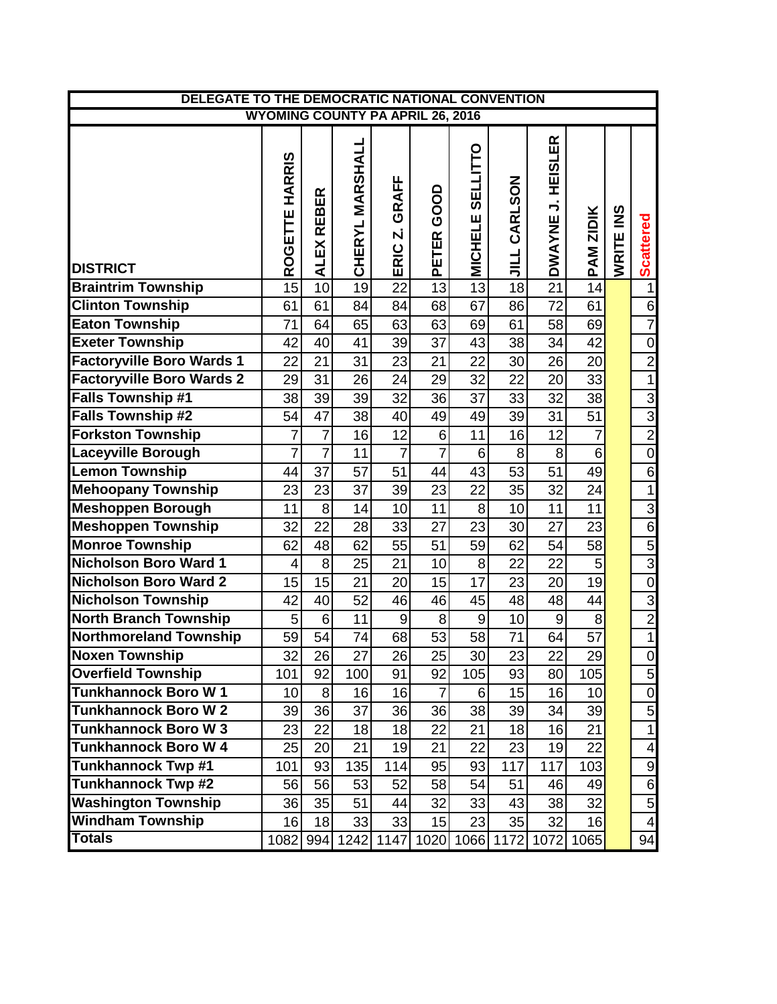| DELEGATE TO THE DEMOCRATIC NATIONAL CONVENTION |                                         |                             |                           |                    |                                        |                                   |                 |                                                             |                  |           |                         |
|------------------------------------------------|-----------------------------------------|-----------------------------|---------------------------|--------------------|----------------------------------------|-----------------------------------|-----------------|-------------------------------------------------------------|------------------|-----------|-------------------------|
|                                                | <b>WYOMING COUNTY PA APRIL 26, 2016</b> |                             |                           |                    |                                        |                                   |                 |                                                             |                  |           |                         |
| <b>DISTRICT</b>                                | <b>HARRIS</b><br>ROGETTE                | <b>REBER</b><br><b>ALEX</b> | <b>MARSHALL</b><br>CHERYL | GRAFF<br>N<br>ERIC | <b>GOOD</b><br><b>ETER</b><br><u>ه</u> | <b>SELLITTO</b><br><b>MICHELE</b> | CARLSON<br>ココ   | <b>HEISLER</b><br>$\overline{\phantom{a}}$<br><b>DWAYNE</b> | <b>PAM ZIDIK</b> | WRITE INS | <b>Scattered</b>        |
| <b>Braintrim Township</b>                      | 15                                      | 10                          | 19                        | 22                 | 13                                     | $\overline{13}$                   | 18              | $\overline{21}$                                             | 14               |           | $\mathbf 1$             |
| <b>Clinton Township</b>                        | 61                                      | 61                          | 84                        | 84                 | 68                                     | 67                                | 86              | 72                                                          | 61               |           | 6                       |
| <b>Eaton Township</b>                          | 71                                      | 64                          | 65                        | 63                 | 63                                     | 69                                | 61              | 58                                                          | 69               |           | $\overline{7}$          |
| <b>Exeter Township</b>                         | 42                                      | 40                          | 41                        | 39                 | 37                                     | 43                                | 38              | 34                                                          | 42               |           | $\mathbf 0$             |
| <b>Factoryville Boro Wards 1</b>               | 22                                      | 21                          | 31                        | 23                 | 21                                     | 22                                | 30              | 26                                                          | 20               |           | $\overline{2}$          |
| <b>Factoryville Boro Wards 2</b>               | 29                                      | 31                          | 26                        | 24                 | 29                                     | 32                                | 22              | 20                                                          | 33               |           | $\overline{1}$          |
| <b>Falls Township #1</b>                       | 38                                      | 39                          | 39                        | 32                 | 36                                     | 37                                | 33              | 32                                                          | 38               |           |                         |
| <b>Falls Township #2</b>                       | 54                                      | 47                          | 38                        | 40                 | 49                                     | 49                                | 39              | $\overline{31}$                                             | 51               |           | $\frac{3}{2}$           |
| <b>Forkston Township</b>                       | $\overline{7}$                          | $\overline{7}$              | 16                        | 12                 | $6\phantom{1}$                         | 11                                | 16              | 12                                                          | $\overline{7}$   |           |                         |
| <b>Laceyville Borough</b>                      | $\overline{7}$                          | $\overline{7}$              | 11                        | $\overline{7}$     | $\overline{7}$                         | 6                                 | 8               | 8                                                           | $\overline{6}$   |           | $\overline{0}$          |
| <b>Lemon Township</b>                          | 44                                      | 37                          | 57                        | 51                 | 44                                     | 43                                | 53              | $\overline{51}$                                             | 49               |           | 6                       |
| <b>Mehoopany Township</b>                      | 23                                      | 23                          | 37                        | 39                 | 23                                     | 22                                | 35              | 32                                                          | 24               |           | $\mathbf{1}$            |
| <b>Meshoppen Borough</b>                       | 11                                      | 8                           | 14                        | 10                 | 11                                     | 8                                 | 10              | 11                                                          | 11               |           | $\overline{3}$          |
| <b>Meshoppen Township</b>                      | 32                                      | 22                          | 28                        | 33                 | 27                                     | 23                                | 30              | 27                                                          | 23               |           | $\overline{6}$          |
| <b>Monroe Township</b>                         | 62                                      | 48                          | 62                        | 55                 | 51                                     | 59                                | 62              | 54                                                          | 58               |           | $\overline{5}$          |
| <b>Nicholson Boro Ward 1</b>                   | $\overline{4}$                          | 8                           | 25                        | 21                 | 10                                     | 8                                 | 22              | 22                                                          | 5                |           | $\overline{3}$          |
| <b>Nicholson Boro Ward 2</b>                   | 15                                      | 15                          | 21                        | 20                 | 15                                     | $\overline{17}$                   | 23              | 20                                                          | $\overline{19}$  |           | $\overline{0}$          |
| <b>Nicholson Township</b>                      | 42                                      | 40                          | 52                        | 46                 | 46                                     | 45                                | 48              | 48                                                          | 44               |           | $\overline{3}$          |
| <b>North Branch Township</b>                   | 5                                       | $6\phantom{1}6$             | 11                        | $\overline{9}$     | 8                                      | $\overline{9}$                    | 10              | 9                                                           | 8                |           | $\overline{2}$          |
| <b>Northmoreland Township</b>                  | 59                                      | 54                          | 74                        | 68                 | 53                                     | 58                                | 71              | 64                                                          | 57               |           | $\overline{1}$          |
| <b>Noxen Township</b>                          | $\overline{32}$                         | 26                          | $\overline{27}$           | $\overline{26}$    | 25                                     | 30                                | $\overline{23}$ | $\overline{22}$                                             | $\overline{29}$  |           | $\overline{0}$          |
| <b>Overfield Township</b>                      | 101                                     | 92                          | 100                       | 91                 | 92                                     | 105                               | 93              | 80                                                          | 105              |           | 5                       |
| <b>Tunkhannock Boro W1</b>                     | 10                                      | 8                           | 16                        | 16                 | $\overline{7}$                         | 6                                 | 15              | 16                                                          | 10               |           | 0                       |
| <b>Tunkhannock Boro W2</b>                     | 39                                      | 36                          | 37                        | 36                 | 36                                     | 38                                | 39              | 34                                                          | 39               |           | 5                       |
| <b>Tunkhannock Boro W3</b>                     | 23                                      | 22                          | 18                        | 18                 | 22                                     | 21                                | 18              | 16                                                          | 21               |           | $\mathbf{1}$            |
| <b>Tunkhannock Boro W 4</b>                    | 25                                      | 20                          | 21                        | 19                 | 21                                     | 22                                | 23              | 19                                                          | 22               |           | 4                       |
| Tunkhannock Twp #1                             | 101                                     | 93                          | 135                       | 114                | 95                                     | 93                                | 117             | 117                                                         | 103              |           | 9                       |
| <b>Tunkhannock Twp #2</b>                      | 56                                      | 56                          | 53                        | 52                 | 58                                     | 54                                | 51              | 46                                                          | 49               |           | 6                       |
| <b>Washington Township</b>                     | 36                                      | 35                          | 51                        | 44                 | 32                                     | 33                                | 43              | 38                                                          | 32               |           | $\mathbf 5$             |
| <b>Windham Township</b>                        | 16                                      | 18                          | 33                        | 33                 | 15                                     | 23                                | 35              | 32                                                          | 16               |           | $\overline{\mathbf{4}}$ |
| <b>Totals</b>                                  | 1082                                    |                             | 994 1242 1147             |                    | 1020                                   |                                   | 1066 1172       | 1072                                                        | 1065             |           | 94                      |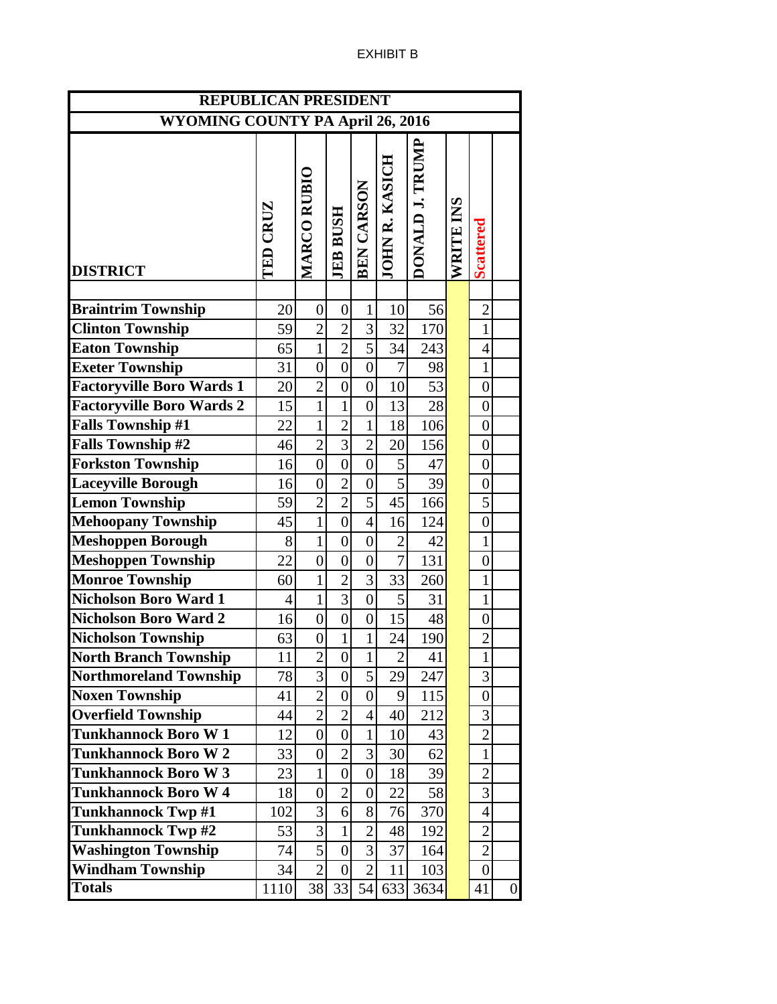| <b>REPUBLICAN PRESIDENT</b>             |                 |                    |                  |                              |                |                 |           |                  |                  |
|-----------------------------------------|-----------------|--------------------|------------------|------------------------------|----------------|-----------------|-----------|------------------|------------------|
| <b>WYOMING COUNTY PA April 26, 2016</b> |                 |                    |                  |                              |                |                 |           |                  |                  |
| <b>DISTRICT</b>                         | <b>TED CRUZ</b> | <b>MARCO RUBIO</b> | <b>JEB BUSH</b>  | BEN CARSON<br>JOHN R. KASICH |                | DONALD J. TRUMP | WRITE INS | <b>Scattered</b> |                  |
|                                         |                 |                    |                  |                              |                |                 |           |                  |                  |
| <b>Braintrim Township</b>               | 20              | $\boldsymbol{0}$   | $\overline{0}$   | $\mathbf{1}$                 | 10             | 56              |           | $\overline{2}$   |                  |
| <b>Clinton Township</b>                 | 59              | $\overline{2}$     | $\overline{2}$   | 3                            | 32             | 170             |           | $\mathbf{1}$     |                  |
| <b>Eaton Township</b>                   | 65              | $\mathbf{1}$       | $\overline{2}$   | $\overline{5}$               | 34             | 243             |           | $\overline{4}$   |                  |
| <b>Exeter Township</b>                  | 31              | $\boldsymbol{0}$   | $\boldsymbol{0}$ | $\boldsymbol{0}$             | $\overline{7}$ | 98              |           | $\mathbf{1}$     |                  |
| <b>Factoryville Boro Wards 1</b>        | 20              | $\overline{2}$     | $\boldsymbol{0}$ | $\boldsymbol{0}$             | 10             | 53              |           | $\boldsymbol{0}$ |                  |
| <b>Factoryville Boro Wards 2</b>        | 15              | $\mathbf{1}$       | $\mathbf{1}$     | $\overline{0}$               | 13             | 28              |           | $\overline{0}$   |                  |
| <b>Falls Township #1</b>                | 22              | $\mathbf{1}$       | $\overline{2}$   | $\mathbf{1}$                 | 18             | 106             |           | $\overline{0}$   |                  |
| Falls Township #2                       | 46              | $\overline{2}$     | $\overline{3}$   | $\overline{2}$               | 20             | 156             |           | $\overline{0}$   |                  |
| <b>Forkston Township</b>                | 16              | $\boldsymbol{0}$   | $\boldsymbol{0}$ | $\overline{0}$               | 5              | 47              |           | $\overline{0}$   |                  |
| <b>Laceyville Borough</b>               | 16              | $\boldsymbol{0}$   | $\overline{2}$   | $\boldsymbol{0}$             | 5              | 39              |           | $\overline{0}$   |                  |
| <b>Lemon Township</b>                   | 59              | $\overline{2}$     | $\overline{2}$   | 5                            | 45             | 166             |           | 5                |                  |
| <b>Mehoopany Township</b>               | 45              | $\mathbf{1}$       | $\vert 0 \vert$  | $\overline{4}$               | 16             | 124             |           | $\boldsymbol{0}$ |                  |
| <b>Meshoppen Borough</b>                | 8               | $\overline{1}$     | $\overline{0}$   | $\boldsymbol{0}$             | $\overline{c}$ | 42              |           | $\mathbf{1}$     |                  |
| <b>Meshoppen Township</b>               | 22              | $\overline{0}$     | $\overline{0}$   | $\boldsymbol{0}$             | $\overline{7}$ | 131             |           | $\overline{0}$   |                  |
| <b>Monroe Township</b>                  | 60              | $\mathbf{1}$       | $\overline{2}$   | $\overline{3}$               | 33             | 260             |           | $\mathbf{1}$     |                  |
| <b>Nicholson Boro Ward 1</b>            | 4               | $\mathbf{1}$       | $\overline{3}$   | $\boldsymbol{0}$             | 5              | 31              |           | $\mathbf{1}$     |                  |
| <b>Nicholson Boro Ward 2</b>            | 16              | $\boldsymbol{0}$   | $\boldsymbol{0}$ | $\boldsymbol{0}$             | 15             | 48              |           | $\boldsymbol{0}$ |                  |
| <b>Nicholson Township</b>               | 63              | $\boldsymbol{0}$   | $\mathbf{1}$     | $\mathbf{1}$                 | 24             | 190             |           | $\overline{2}$   |                  |
| <b>North Branch Township</b>            | 11              | $\overline{c}$     | $\vert 0 \vert$  | $\mathbf{1}$                 | $\overline{c}$ | 41              |           | $\mathbf{1}$     |                  |
| <b>Northmoreland Township</b>           | 78              | $\overline{3}$     | $\overline{0}$   | 5                            | 29             | 247             |           | 3                |                  |
| <b>Noxen Township</b>                   | 41              | $\overline{2}$     | $\overline{0}$   | $\overline{0}$               | $\overline{9}$ | 115             |           | $\boldsymbol{0}$ |                  |
| <b>Overfield Township</b>               | 44              | $\overline{2}$     | $\overline{2}$   | 4                            | 40             | 212             |           | 3                |                  |
| <b>Tunkhannock Boro W1</b>              | 12              | $\overline{0}$     | $\overline{0}$   | $\mathbf{1}$                 | 10             | 43              |           | $\overline{2}$   |                  |
| <b>Tunkhannock Boro W2</b>              | 33              | $\boldsymbol{0}$   | $\overline{2}$   | 3                            | 30             | 62              |           | $\mathbf{1}$     |                  |
| <b>Tunkhannock Boro W3</b>              | 23              | $\mathbf{1}$       | $\overline{0}$   | $\overline{0}$               | 18             | 39              |           | $\overline{c}$   |                  |
| <b>Tunkhannock Boro W4</b>              | 18              | $\boldsymbol{0}$   | $\overline{2}$   | $\boldsymbol{0}$             | 22             | 58              |           | 3                |                  |
| <b>Tunkhannock Twp #1</b>               | 102             | 3                  | $\overline{6}$   | 8                            | 76             | 370             |           | $\overline{4}$   |                  |
| <b>Tunkhannock Twp#2</b>                | 53              | 3                  | $\mathbf{1}$     | $\overline{2}$               | 48             | 192             |           | $\overline{2}$   |                  |
| <b>Washington Township</b>              | 74              | 5                  | $\overline{0}$   | 3                            | 37             | 164             |           | $\overline{2}$   |                  |
| <b>Windham Township</b>                 | 34              | $\overline{2}$     | $\vert 0 \vert$  | $\overline{2}$               | 11             | 103             |           | $\overline{0}$   |                  |
| <b>Totals</b>                           | 1110            | 38                 | 33               | 54                           | 633            | 3634            |           | 41               | $\boldsymbol{0}$ |

## EXHIBIT B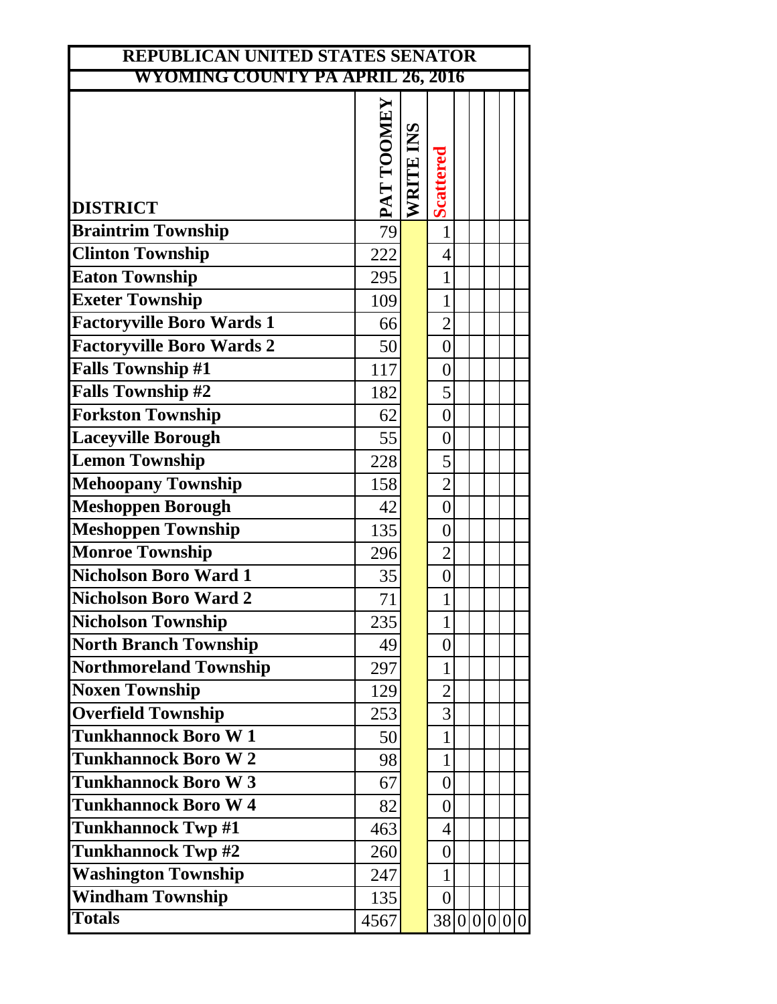| REPUBLICAN UNITED STATES SENATOR        |            |           |                  |  |  |  |
|-----------------------------------------|------------|-----------|------------------|--|--|--|
| <b>WYOMING COUNTY PA APRIL 26, 2016</b> |            |           |                  |  |  |  |
| <b>DISTRICT</b>                         | PAT TOOMEY | WRITE INS | Scattered        |  |  |  |
| <b>Braintrim Township</b>               | 79         |           | $\mathbf{1}$     |  |  |  |
| <b>Clinton Township</b>                 | 222        |           | $\overline{4}$   |  |  |  |
| <b>Eaton Township</b>                   | 295        |           | $\mathbf{1}$     |  |  |  |
| <b>Exeter Township</b>                  | 109        |           | $\mathbf{1}$     |  |  |  |
| <b>Factoryville Boro Wards 1</b>        | 66         |           | $\overline{2}$   |  |  |  |
| <b>Factoryville Boro Wards 2</b>        | 50         |           | $\overline{0}$   |  |  |  |
| <b>Falls Township #1</b>                | 117        |           | $\overline{0}$   |  |  |  |
| <b>Falls Township #2</b>                | 182        |           | 5                |  |  |  |
| <b>Forkston Township</b>                | 62         |           | $\boldsymbol{0}$ |  |  |  |
| <b>Laceyville Borough</b>               | 55         |           | $\overline{0}$   |  |  |  |
| <b>Lemon Township</b>                   | 228        |           | 5                |  |  |  |
| <b>Mehoopany Township</b>               | 158        |           | $\overline{2}$   |  |  |  |
| <b>Meshoppen Borough</b>                | 42         |           | $\overline{0}$   |  |  |  |
| <b>Meshoppen Township</b>               | 135        |           | $\overline{0}$   |  |  |  |
| <b>Monroe Township</b>                  | 296        |           | $\overline{2}$   |  |  |  |
| <b>Nicholson Boro Ward 1</b>            | 35         |           | $\overline{0}$   |  |  |  |
| Nicholson Boro Ward 2                   | 71         |           | 1                |  |  |  |
| <b>Nicholson Township</b>               | 235        |           | $\mathbf{1}$     |  |  |  |
| <b>North Branch Township</b>            | 49         |           | $\overline{0}$   |  |  |  |
| <b>Northmoreland Township</b>           | 297        |           | 1                |  |  |  |
| <b>Noxen Township</b>                   | 129        |           | $\overline{2}$   |  |  |  |
| <b>Overfield Township</b>               | 253        |           | 3                |  |  |  |
| <b>Tunkhannock Boro W1</b>              | 50         |           | 1                |  |  |  |
| <b>Tunkhannock Boro W2</b>              | 98         |           | 1                |  |  |  |
| <b>Tunkhannock Boro W3</b>              | 67         |           | $\overline{0}$   |  |  |  |
| <b>Tunkhannock Boro W4</b>              | 82         |           | $\overline{0}$   |  |  |  |
| <b>Tunkhannock Twp #1</b>               | 463        |           | $\overline{4}$   |  |  |  |
| <b>Tunkhannock Twp #2</b>               | 260        |           | 0                |  |  |  |
| <b>Washington Township</b>              | 247        |           | 1                |  |  |  |
| <b>Windham Township</b>                 | 135        |           | $\overline{0}$   |  |  |  |
| <b>Totals</b>                           | 4567       |           | 38 0 0 0 0 0 0   |  |  |  |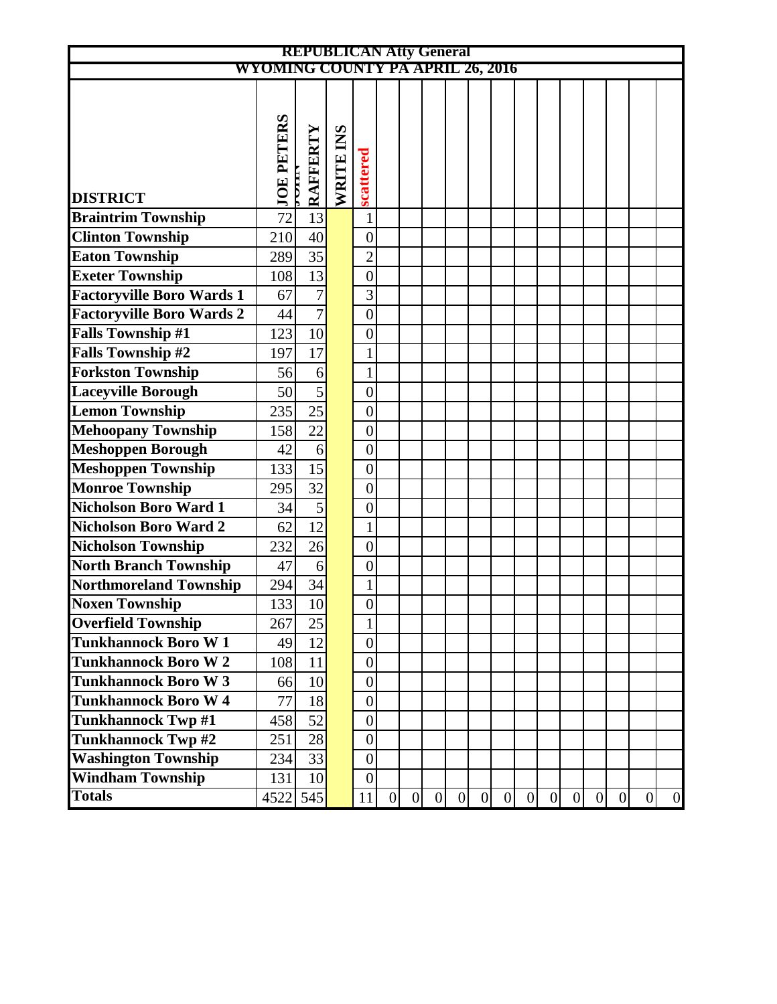|                                  |                                         | <b>REPUBLICAN Atty General</b> |           |                  |   |                 |                 |   |                  |                |   |   |                |   |                |   |                |
|----------------------------------|-----------------------------------------|--------------------------------|-----------|------------------|---|-----------------|-----------------|---|------------------|----------------|---|---|----------------|---|----------------|---|----------------|
|                                  | <b>WYOMING COUNTY PA APRIL 26, 2016</b> |                                |           |                  |   |                 |                 |   |                  |                |   |   |                |   |                |   |                |
|                                  |                                         |                                |           |                  |   |                 |                 |   |                  |                |   |   |                |   |                |   |                |
|                                  |                                         |                                |           |                  |   |                 |                 |   |                  |                |   |   |                |   |                |   |                |
|                                  |                                         |                                |           |                  |   |                 |                 |   |                  |                |   |   |                |   |                |   |                |
|                                  |                                         |                                |           |                  |   |                 |                 |   |                  |                |   |   |                |   |                |   |                |
|                                  |                                         |                                |           |                  |   |                 |                 |   |                  |                |   |   |                |   |                |   |                |
| <b>DISTRICT</b>                  | <b>JOE PETERS</b>                       | RAFFERTY<br>E                  | WRITE INS | scattered        |   |                 |                 |   |                  |                |   |   |                |   |                |   |                |
| <b>Braintrim Township</b>        | 72                                      | 13                             |           | $\mathbf{1}$     |   |                 |                 |   |                  |                |   |   |                |   |                |   |                |
| <b>Clinton Township</b>          | 210                                     | 40                             |           | $\boldsymbol{0}$ |   |                 |                 |   |                  |                |   |   |                |   |                |   |                |
| <b>Eaton Township</b>            | 289                                     | 35                             |           | $\overline{c}$   |   |                 |                 |   |                  |                |   |   |                |   |                |   |                |
| <b>Exeter Township</b>           | 108                                     | 13                             |           | $\boldsymbol{0}$ |   |                 |                 |   |                  |                |   |   |                |   |                |   |                |
| <b>Factoryville Boro Wards 1</b> | 67                                      | $\overline{7}$                 |           | $\overline{3}$   |   |                 |                 |   |                  |                |   |   |                |   |                |   |                |
| <b>Factoryville Boro Wards 2</b> | 44                                      | $\overline{7}$                 |           | $\overline{0}$   |   |                 |                 |   |                  |                |   |   |                |   |                |   |                |
| <b>Falls Township #1</b>         | 123                                     | 10                             |           | $\boldsymbol{0}$ |   |                 |                 |   |                  |                |   |   |                |   |                |   |                |
| <b>Falls Township #2</b>         | 197                                     | 17                             |           | $\mathbf{1}$     |   |                 |                 |   |                  |                |   |   |                |   |                |   |                |
| <b>Forkston Township</b>         | 56                                      | 6                              |           | $\mathbf{1}$     |   |                 |                 |   |                  |                |   |   |                |   |                |   |                |
| <b>Laceyville Borough</b>        | 50                                      | $\overline{5}$                 |           | $\boldsymbol{0}$ |   |                 |                 |   |                  |                |   |   |                |   |                |   |                |
| <b>Lemon Township</b>            | 235                                     | 25                             |           | $\boldsymbol{0}$ |   |                 |                 |   |                  |                |   |   |                |   |                |   |                |
| <b>Mehoopany Township</b>        | 158                                     | $\overline{22}$                |           | $\overline{0}$   |   |                 |                 |   |                  |                |   |   |                |   |                |   |                |
| <b>Meshoppen Borough</b>         | 42                                      | 6                              |           | $\boldsymbol{0}$ |   |                 |                 |   |                  |                |   |   |                |   |                |   |                |
| <b>Meshoppen Township</b>        | 133                                     | 15                             |           | $\boldsymbol{0}$ |   |                 |                 |   |                  |                |   |   |                |   |                |   |                |
| <b>Monroe Township</b>           | 295                                     | 32                             |           | $\boldsymbol{0}$ |   |                 |                 |   |                  |                |   |   |                |   |                |   |                |
| <b>Nicholson Boro Ward 1</b>     | 34                                      | 5                              |           | $\boldsymbol{0}$ |   |                 |                 |   |                  |                |   |   |                |   |                |   |                |
| <b>Nicholson Boro Ward 2</b>     | 62                                      | 12                             |           | $\mathbf{1}$     |   |                 |                 |   |                  |                |   |   |                |   |                |   |                |
| <b>Nicholson Township</b>        | 232                                     | 26                             |           | $\boldsymbol{0}$ |   |                 |                 |   |                  |                |   |   |                |   |                |   |                |
| <b>North Branch Township</b>     | 47                                      | 6                              |           | $\boldsymbol{0}$ |   |                 |                 |   |                  |                |   |   |                |   |                |   |                |
| <b>Northmoreland Township</b>    | 294                                     | 34                             |           | $\mathbf{1}$     |   |                 |                 |   |                  |                |   |   |                |   |                |   |                |
| <b>Noxen Township</b>            | 133                                     | 10                             |           | $\boldsymbol{0}$ |   |                 |                 |   |                  |                |   |   |                |   |                |   |                |
| <b>Overfield Township</b>        | 267                                     | 25                             |           | $\mathbf{1}$     |   |                 |                 |   |                  |                |   |   |                |   |                |   |                |
| <b>Tunkhannock Boro W1</b>       | 49                                      | 12                             |           | $\boldsymbol{0}$ |   |                 |                 |   |                  |                |   |   |                |   |                |   |                |
| <b>Tunkhannock Boro W2</b>       | 108                                     | 11                             |           | $\boldsymbol{0}$ |   |                 |                 |   |                  |                |   |   |                |   |                |   |                |
| <b>Tunkhannock Boro W3</b>       | 66                                      | 10                             |           | $\boldsymbol{0}$ |   |                 |                 |   |                  |                |   |   |                |   |                |   |                |
| <b>Tunkhannock Boro W4</b>       | 77                                      | 18                             |           | $\boldsymbol{0}$ |   |                 |                 |   |                  |                |   |   |                |   |                |   |                |
| <b>Tunkhannock Twp#1</b>         | 458                                     | 52                             |           | $\boldsymbol{0}$ |   |                 |                 |   |                  |                |   |   |                |   |                |   |                |
| <b>Tunkhannock Twp#2</b>         | 251                                     | 28                             |           | $\boldsymbol{0}$ |   |                 |                 |   |                  |                |   |   |                |   |                |   |                |
| <b>Washington Township</b>       | 234                                     | 33                             |           | $\boldsymbol{0}$ |   |                 |                 |   |                  |                |   |   |                |   |                |   |                |
| <b>Windham Township</b>          | 131                                     | 10                             |           | $\boldsymbol{0}$ |   |                 |                 |   |                  |                |   |   |                |   |                |   |                |
| <b>Totals</b>                    | 4522 545                                |                                |           | 11               | 0 | $\vert 0 \vert$ | $\vert 0 \vert$ | 0 | $\boldsymbol{0}$ | $\overline{0}$ | 0 | 0 | $\overline{0}$ | 0 | $\overline{0}$ | 0 | $\overline{0}$ |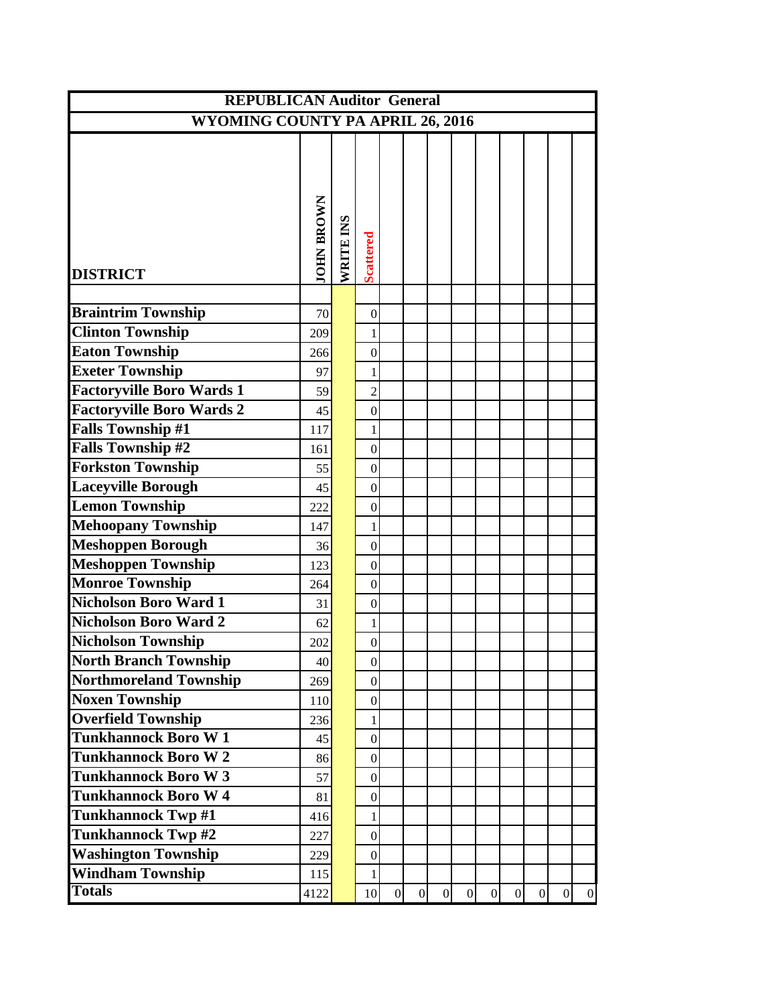| <b>REPUBLICAN Auditor General</b>                         |                   |           |                                  |                 |                |                |                |                |              |                |                |                |
|-----------------------------------------------------------|-------------------|-----------|----------------------------------|-----------------|----------------|----------------|----------------|----------------|--------------|----------------|----------------|----------------|
| <b>WYOMING COUNTY PA APRIL 26, 2016</b>                   |                   |           |                                  |                 |                |                |                |                |              |                |                |                |
|                                                           |                   |           |                                  |                 |                |                |                |                |              |                |                |                |
|                                                           |                   |           |                                  |                 |                |                |                |                |              |                |                |                |
|                                                           |                   |           |                                  |                 |                |                |                |                |              |                |                |                |
|                                                           |                   |           |                                  |                 |                |                |                |                |              |                |                |                |
|                                                           |                   |           |                                  |                 |                |                |                |                |              |                |                |                |
|                                                           |                   |           |                                  |                 |                |                |                |                |              |                |                |                |
|                                                           | <b>JOHN BROWN</b> | WRITE INS | <b>Scattered</b>                 |                 |                |                |                |                |              |                |                |                |
| <b>DISTRICT</b>                                           |                   |           |                                  |                 |                |                |                |                |              |                |                |                |
|                                                           |                   |           |                                  |                 |                |                |                |                |              |                |                |                |
| <b>Braintrim Township</b>                                 | 70                |           | $\boldsymbol{0}$                 |                 |                |                |                |                |              |                |                |                |
| <b>Clinton Township</b>                                   | 209               |           | 1                                |                 |                |                |                |                |              |                |                |                |
| <b>Eaton Township</b>                                     | 266               |           | $\overline{0}$                   |                 |                |                |                |                |              |                |                |                |
| <b>Exeter Township</b>                                    | 97                |           | 1                                |                 |                |                |                |                |              |                |                |                |
| <b>Factoryville Boro Wards 1</b>                          | 59                |           | $\overline{2}$                   |                 |                |                |                |                |              |                |                |                |
| <b>Factoryville Boro Wards 2</b>                          | 45                |           | $\boldsymbol{0}$                 |                 |                |                |                |                |              |                |                |                |
| <b>Falls Township #1</b>                                  | 117               |           | 1                                |                 |                |                |                |                |              |                |                |                |
| <b>Falls Township #2</b>                                  | 161               |           | $\mathbf{0}$                     |                 |                |                |                |                |              |                |                |                |
| <b>Forkston Township</b>                                  | 55                |           | $\boldsymbol{0}$                 |                 |                |                |                |                |              |                |                |                |
| <b>Laceyville Borough</b>                                 | 45                |           | $\mathbf{0}$                     |                 |                |                |                |                |              |                |                |                |
| <b>Lemon Township</b>                                     | 222               |           | $\boldsymbol{0}$                 |                 |                |                |                |                |              |                |                |                |
| <b>Mehoopany Township</b>                                 | 147               |           | $\mathbf{1}$                     |                 |                |                |                |                |              |                |                |                |
| Meshoppen Borough                                         | 36                |           | $\mathbf{0}$                     |                 |                |                |                |                |              |                |                |                |
| <b>Meshoppen Township</b>                                 | 123               |           | $\overline{0}$                   |                 |                |                |                |                |              |                |                |                |
| <b>Monroe Township</b><br>Nicholson Boro Ward 1           | 264               |           | $\boldsymbol{0}$                 |                 |                |                |                |                |              |                |                |                |
| <b>Nicholson Boro Ward 2</b>                              | 31                |           | $\mathbf{0}$                     |                 |                |                |                |                |              |                |                |                |
|                                                           | 62                |           | 1                                |                 |                |                |                |                |              |                |                |                |
| <b>Nicholson Township</b><br><b>North Branch Township</b> | 202               |           | $\mathbf{0}$                     |                 |                |                |                |                |              |                |                |                |
| <b>Northmoreland Township</b>                             | 40<br>269         |           | $\boldsymbol{0}$<br>$\mathbf{0}$ |                 |                |                |                |                |              |                |                |                |
| <b>Noxen Township</b>                                     |                   |           | $\boldsymbol{0}$                 |                 |                |                |                |                |              |                |                |                |
| <b>Overfield Township</b>                                 | 110<br>236        |           | $\mathbf{1}$                     |                 |                |                |                |                |              |                |                |                |
| <b>Tunkhannock Boro W1</b>                                | 45                |           | $\boldsymbol{0}$                 |                 |                |                |                |                |              |                |                |                |
| <b>Tunkhannock Boro W2</b>                                |                   |           |                                  |                 |                |                |                |                |              |                |                |                |
| <b>Tunkhannock Boro W3</b>                                | 86<br>57          |           | $\boldsymbol{0}$<br>$\mathbf{0}$ |                 |                |                |                |                |              |                |                |                |
| <b>Tunkhannock Boro W4</b>                                | 81                |           | $\boldsymbol{0}$                 |                 |                |                |                |                |              |                |                |                |
| <b>Tunkhannock Twp #1</b>                                 | 416               |           | 1                                |                 |                |                |                |                |              |                |                |                |
| <b>Tunkhannock Twp#2</b>                                  | 227               |           | $\boldsymbol{0}$                 |                 |                |                |                |                |              |                |                |                |
| <b>Washington Township</b>                                | 229               |           | $\boldsymbol{0}$                 |                 |                |                |                |                |              |                |                |                |
| <b>Windham Township</b>                                   | 115               |           | 1                                |                 |                |                |                |                |              |                |                |                |
| <b>Totals</b>                                             | 4122              |           | 10                               | $\vert 0 \vert$ | $\overline{0}$ | $\overline{0}$ | $\overline{0}$ | $\overline{0}$ | $\mathbf{0}$ | $\overline{0}$ | $\overline{0}$ | $\overline{0}$ |
|                                                           |                   |           |                                  |                 |                |                |                |                |              |                |                |                |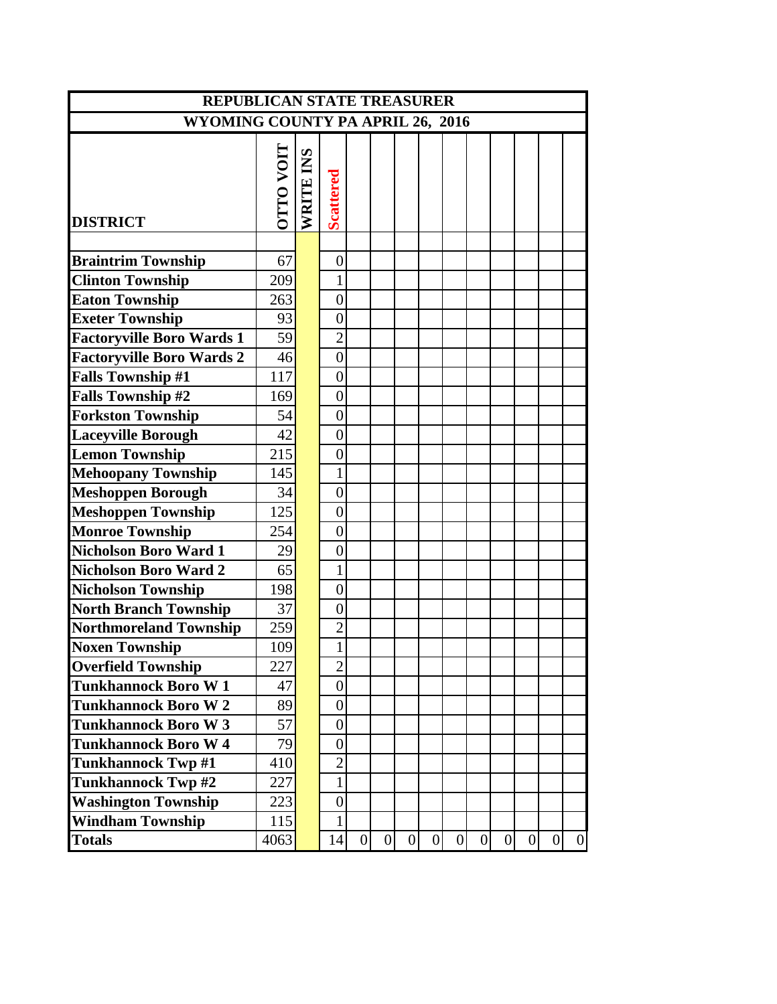| <b>REPUBLICAN STATE TREASURER</b> |                  |           |                  |                 |                |                |                 |                |                |                  |                |                |              |
|-----------------------------------|------------------|-----------|------------------|-----------------|----------------|----------------|-----------------|----------------|----------------|------------------|----------------|----------------|--------------|
| WYOMING COUNTY PA APRIL 26, 2016  |                  |           |                  |                 |                |                |                 |                |                |                  |                |                |              |
| <b>DISTRICT</b>                   | <b>LION OLLC</b> | WRITE INS | <b>Scattered</b> |                 |                |                |                 |                |                |                  |                |                |              |
|                                   |                  |           |                  |                 |                |                |                 |                |                |                  |                |                |              |
| <b>Braintrim Township</b>         | 67               |           | $\boldsymbol{0}$ |                 |                |                |                 |                |                |                  |                |                |              |
| <b>Clinton Township</b>           | 209              |           | 1                |                 |                |                |                 |                |                |                  |                |                |              |
| <b>Eaton Township</b>             | 263              |           | $\overline{0}$   |                 |                |                |                 |                |                |                  |                |                |              |
| <b>Exeter Township</b>            | 93               |           | $\overline{0}$   |                 |                |                |                 |                |                |                  |                |                |              |
| <b>Factoryville Boro Wards 1</b>  | 59               |           | $\overline{2}$   |                 |                |                |                 |                |                |                  |                |                |              |
| <b>Factoryville Boro Wards 2</b>  | 46               |           | $\overline{0}$   |                 |                |                |                 |                |                |                  |                |                |              |
| <b>Falls Township #1</b>          | 117              |           | $\overline{0}$   |                 |                |                |                 |                |                |                  |                |                |              |
| <b>Falls Township #2</b>          | 169              |           | $\overline{0}$   |                 |                |                |                 |                |                |                  |                |                |              |
| <b>Forkston Township</b>          | 54               |           | $\overline{0}$   |                 |                |                |                 |                |                |                  |                |                |              |
| <b>Laceyville Borough</b>         | 42               |           | $\overline{0}$   |                 |                |                |                 |                |                |                  |                |                |              |
| <b>Lemon Township</b>             | 215              |           | $\overline{0}$   |                 |                |                |                 |                |                |                  |                |                |              |
| <b>Mehoopany Township</b>         | 145              |           | $\mathbf{1}$     |                 |                |                |                 |                |                |                  |                |                |              |
| <b>Meshoppen Borough</b>          | 34               |           | $\overline{0}$   |                 |                |                |                 |                |                |                  |                |                |              |
| <b>Meshoppen Township</b>         | 125              |           | $\overline{0}$   |                 |                |                |                 |                |                |                  |                |                |              |
| <b>Monroe Township</b>            | 254              |           | $\overline{0}$   |                 |                |                |                 |                |                |                  |                |                |              |
| <b>Nicholson Boro Ward 1</b>      | 29               |           | $\overline{0}$   |                 |                |                |                 |                |                |                  |                |                |              |
| <b>Nicholson Boro Ward 2</b>      | 65               |           |                  |                 |                |                |                 |                |                |                  |                |                |              |
| <b>Nicholson Township</b>         | 198              |           | $\overline{0}$   |                 |                |                |                 |                |                |                  |                |                |              |
| <b>North Branch Township</b>      | 37               |           | $\overline{0}$   |                 |                |                |                 |                |                |                  |                |                |              |
| <b>Northmoreland Township</b>     | 259              |           | $\overline{2}$   |                 |                |                |                 |                |                |                  |                |                |              |
| <b>Noxen Township</b>             | 109              |           |                  |                 |                |                |                 |                |                |                  |                |                |              |
| <b>Overfield Township</b>         | 227              |           | $\mathbf{2}$     |                 |                |                |                 |                |                |                  |                |                |              |
| <b>Tunkhannock Boro W1</b>        | 47               |           | $\boldsymbol{0}$ |                 |                |                |                 |                |                |                  |                |                |              |
| <b>Tunkhannock Boro W2</b>        | 89               |           | $\boldsymbol{0}$ |                 |                |                |                 |                |                |                  |                |                |              |
| <b>Tunkhannock Boro W3</b>        | 57               |           | $\boldsymbol{0}$ |                 |                |                |                 |                |                |                  |                |                |              |
| <b>Tunkhannock Boro W4</b>        | 79               |           | $\boldsymbol{0}$ |                 |                |                |                 |                |                |                  |                |                |              |
| <b>Tunkhannock Twp #1</b>         | 410              |           | $\overline{2}$   |                 |                |                |                 |                |                |                  |                |                |              |
| <b>Tunkhannock Twp#2</b>          | 227              |           | $\mathbf{1}$     |                 |                |                |                 |                |                |                  |                |                |              |
| <b>Washington Township</b>        | 223              |           | $\overline{0}$   |                 |                |                |                 |                |                |                  |                |                |              |
| <b>Windham Township</b>           | 115              |           | 1                |                 |                |                |                 |                |                |                  |                |                |              |
| <b>Totals</b>                     | 4063             |           | 14               | $\vert 0 \vert$ | $\overline{0}$ | $\overline{0}$ | $\vert 0 \vert$ | $\overline{0}$ | $\overline{0}$ | $\boldsymbol{0}$ | $\overline{0}$ | $\overline{0}$ | $\mathbf{0}$ |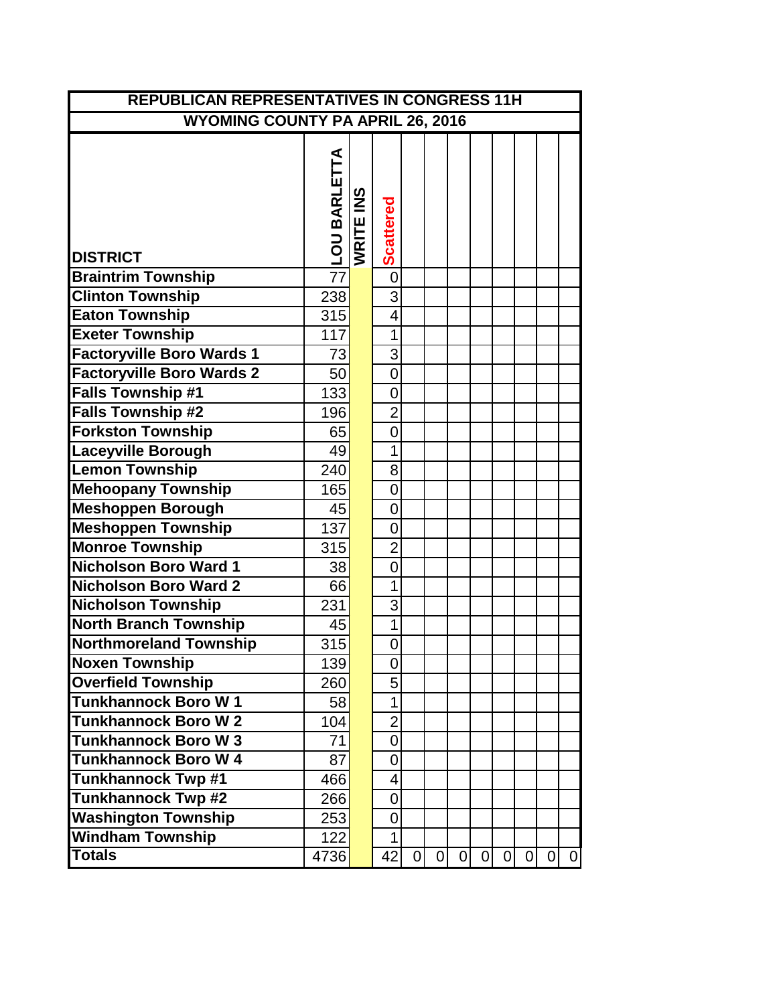| <b>REPUBLICAN REPRESENTATIVES IN CONGRESS 11H</b> |                |           |                          |             |                |   |   |   |                |   |             |
|---------------------------------------------------|----------------|-----------|--------------------------|-------------|----------------|---|---|---|----------------|---|-------------|
| <b>WYOMING COUNTY PA APRIL 26, 2016</b>           |                |           |                          |             |                |   |   |   |                |   |             |
| <b>DISTRICT</b>                                   | NILOU BARLETTA | WRITE INS | <b>Scattered</b>         |             |                |   |   |   |                |   |             |
| <b>Braintrim Township</b>                         |                |           | $\overline{0}$           |             |                |   |   |   |                |   |             |
| <b>Clinton Township</b>                           | 238            |           | 3                        |             |                |   |   |   |                |   |             |
| <b>Eaton Township</b>                             | 315            |           | 4                        |             |                |   |   |   |                |   |             |
| <b>Exeter Township</b>                            | 117            |           | 1                        |             |                |   |   |   |                |   |             |
| <b>Factoryville Boro Wards 1</b>                  | 73             |           | 3                        |             |                |   |   |   |                |   |             |
| <b>Factoryville Boro Wards 2</b>                  | 50             |           | $\overline{0}$           |             |                |   |   |   |                |   |             |
| <b>Falls Township #1</b>                          | 133            |           | $\overline{0}$           |             |                |   |   |   |                |   |             |
| <b>Falls Township #2</b>                          | 196            |           | $\overline{2}$           |             |                |   |   |   |                |   |             |
| <b>Forkston Township</b>                          | 65             |           | $\overline{0}$           |             |                |   |   |   |                |   |             |
| <b>Laceyville Borough</b>                         | 49             |           | 1                        |             |                |   |   |   |                |   |             |
| <b>Lemon Township</b>                             | 240            |           | 8                        |             |                |   |   |   |                |   |             |
| <b>Mehoopany Township</b>                         | 165            |           | $\overline{0}$           |             |                |   |   |   |                |   |             |
| <b>Meshoppen Borough</b>                          | 45             |           | $\overline{0}$           |             |                |   |   |   |                |   |             |
| <b>Meshoppen Township</b>                         | 137            |           | $\overline{0}$           |             |                |   |   |   |                |   |             |
| <b>Monroe Township</b>                            | 315            |           | $\overline{2}$           |             |                |   |   |   |                |   |             |
| <b>Nicholson Boro Ward 1</b>                      | 38             |           | $\overline{0}$           |             |                |   |   |   |                |   |             |
| <b>Nicholson Boro Ward 2</b>                      | 66             |           | 1                        |             |                |   |   |   |                |   |             |
| <b>Nicholson Township</b>                         | 231            |           | 3                        |             |                |   |   |   |                |   |             |
| <b>North Branch Township</b>                      | 45             |           | $\overline{1}$           |             |                |   |   |   |                |   |             |
| <b>Northmoreland Township</b>                     | 315            |           | $\overline{0}$           |             |                |   |   |   |                |   |             |
| <b>Noxen Township</b>                             | 139            |           | 0                        |             |                |   |   |   |                |   |             |
| <b>Overfield Township</b>                         | 260            |           | 5                        |             |                |   |   |   |                |   |             |
| <b>Tunkhannock Boro W1</b>                        | 58             |           | 1                        |             |                |   |   |   |                |   |             |
| <b>Tunkhannock Boro W2</b>                        | 104            |           | $\overline{2}$           |             |                |   |   |   |                |   |             |
| <b>Tunkhannock Boro W3</b>                        | 71             |           | $\overline{0}$           |             |                |   |   |   |                |   |             |
| <b>Tunkhannock Boro W 4</b>                       | 87             |           | $\overline{0}$           |             |                |   |   |   |                |   |             |
| <b>Tunkhannock Twp #1</b>                         | 466            |           | $\overline{\mathcal{A}}$ |             |                |   |   |   |                |   |             |
| <b>Tunkhannock Twp #2</b>                         | 266            |           | $\overline{0}$           |             |                |   |   |   |                |   |             |
| <b>Washington Township</b>                        | 253            |           | $\overline{0}$           |             |                |   |   |   |                |   |             |
| <b>Windham Township</b>                           | 122            |           | 1                        |             |                |   |   |   |                |   |             |
| <b>Totals</b>                                     | 4736           |           | 42                       | $\mathbf 0$ | $\overline{0}$ | 0 | 0 | 0 | $\overline{0}$ | 0 | $\mathbf 0$ |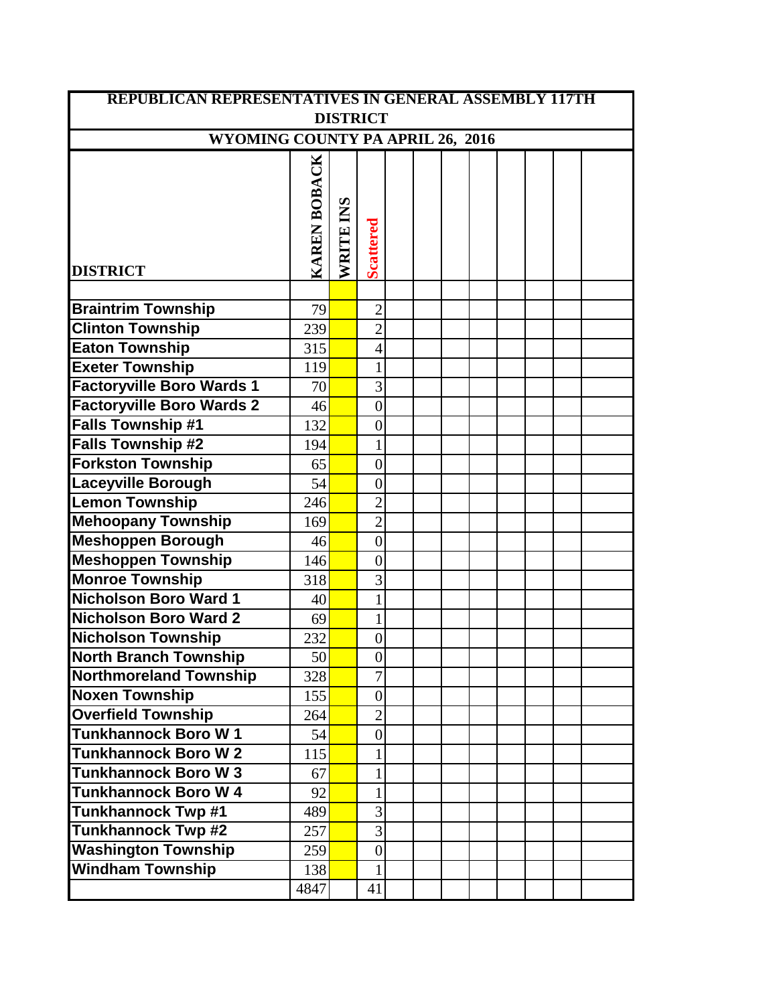| <b>REPUBLICAN REPRESENTATIVES IN GENERAL ASSEMBLY 117TH</b> |              |           |                  |  |  |  |  |  |  |  |  |
|-------------------------------------------------------------|--------------|-----------|------------------|--|--|--|--|--|--|--|--|
| <b>DISTRICT</b>                                             |              |           |                  |  |  |  |  |  |  |  |  |
| WYOMING COUNTY PA APRIL 26, 2016                            |              |           |                  |  |  |  |  |  |  |  |  |
| <b>DISTRICT</b>                                             | KAREN BOBACK | WRITE INS | <b>Scattered</b> |  |  |  |  |  |  |  |  |
|                                                             |              |           |                  |  |  |  |  |  |  |  |  |
| <b>Braintrim Township</b>                                   | 79           |           | $\overline{2}$   |  |  |  |  |  |  |  |  |
| <b>Clinton Township</b>                                     | 239          |           | $\overline{2}$   |  |  |  |  |  |  |  |  |
| <b>Eaton Township</b>                                       | 315          |           | $\overline{4}$   |  |  |  |  |  |  |  |  |
| <b>Exeter Township</b>                                      | 119          |           | $\mathbf{1}$     |  |  |  |  |  |  |  |  |
| <b>Factoryville Boro Wards 1</b>                            | 70           |           | $\overline{3}$   |  |  |  |  |  |  |  |  |
| <b>Factoryville Boro Wards 2</b>                            | 46           |           | $\overline{0}$   |  |  |  |  |  |  |  |  |
| <b>Falls Township #1</b>                                    | 132          |           | $\boldsymbol{0}$ |  |  |  |  |  |  |  |  |
| <b>Falls Township #2</b>                                    | 194          |           | $\mathbf{1}$     |  |  |  |  |  |  |  |  |
| <b>Forkston Township</b>                                    | 65           |           | $\overline{0}$   |  |  |  |  |  |  |  |  |
| <b>Laceyville Borough</b>                                   | 54           |           | $\overline{0}$   |  |  |  |  |  |  |  |  |
| <b>Lemon Township</b>                                       | 246          |           | $\overline{2}$   |  |  |  |  |  |  |  |  |
| <b>Mehoopany Township</b>                                   | 169          |           | $\overline{2}$   |  |  |  |  |  |  |  |  |
| <b>Meshoppen Borough</b>                                    | 46           |           | $\overline{0}$   |  |  |  |  |  |  |  |  |
| <b>Meshoppen Township</b>                                   | 146          |           | $\overline{0}$   |  |  |  |  |  |  |  |  |
| <b>Monroe Township</b>                                      | 318          |           | 3                |  |  |  |  |  |  |  |  |
| <b>Nicholson Boro Ward 1</b>                                | 40           |           | $\mathbf{1}$     |  |  |  |  |  |  |  |  |
| <b>Nicholson Boro Ward 2</b>                                | 69           |           | $\mathbf{1}$     |  |  |  |  |  |  |  |  |
| <b>Nicholson Township</b>                                   | 232          |           | $\boldsymbol{0}$ |  |  |  |  |  |  |  |  |
| <b>North Branch Township</b>                                | 50           |           | $\boldsymbol{0}$ |  |  |  |  |  |  |  |  |
| <b>Northmoreland Township</b>                               | 328          |           | $\overline{7}$   |  |  |  |  |  |  |  |  |
| <b>Noxen Township</b>                                       | 155          |           | $\overline{0}$   |  |  |  |  |  |  |  |  |
| <b>Overfield Township</b>                                   | 264          |           | $\overline{2}$   |  |  |  |  |  |  |  |  |
| <b>Tunkhannock Boro W1</b>                                  | 54           |           | $\overline{0}$   |  |  |  |  |  |  |  |  |
| <b>Tunkhannock Boro W2</b>                                  | 115          |           | 1                |  |  |  |  |  |  |  |  |
| <b>Tunkhannock Boro W3</b>                                  | 67           |           | $\mathbf{1}$     |  |  |  |  |  |  |  |  |
| <b>Tunkhannock Boro W 4</b>                                 | 92           |           | 1                |  |  |  |  |  |  |  |  |
| <b>Tunkhannock Twp #1</b>                                   | 489          |           | 3                |  |  |  |  |  |  |  |  |
| <b>Tunkhannock Twp #2</b>                                   | 257          |           | 3                |  |  |  |  |  |  |  |  |
| <b>Washington Township</b>                                  | 259          |           | $\mathbf{0}$     |  |  |  |  |  |  |  |  |
| <b>Windham Township</b>                                     | 138          |           | $\mathbf{1}$     |  |  |  |  |  |  |  |  |
|                                                             | 4847         |           | 41               |  |  |  |  |  |  |  |  |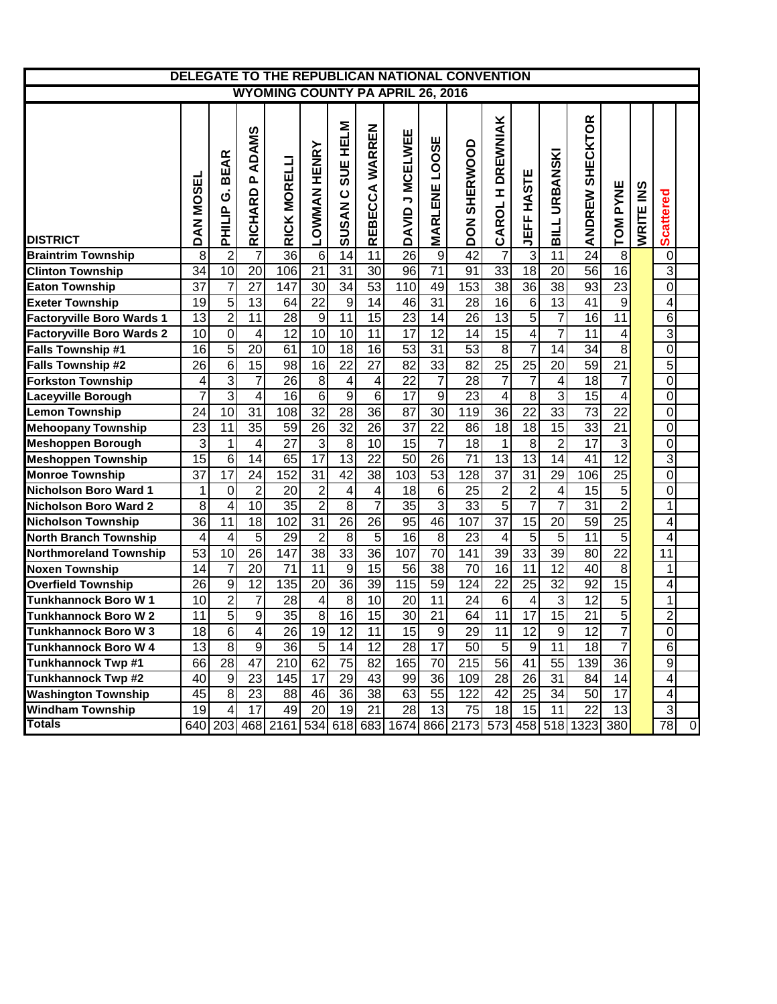| DELEGATE TO THE REPUBLICAN NATIONAL CONVENTION |                                         |                                                    |                                  |                 |                         |                                                |                 |                                    |                      |                        |                               |                         |                         |                      |                  |           |                  |                |
|------------------------------------------------|-----------------------------------------|----------------------------------------------------|----------------------------------|-----------------|-------------------------|------------------------------------------------|-----------------|------------------------------------|----------------------|------------------------|-------------------------------|-------------------------|-------------------------|----------------------|------------------|-----------|------------------|----------------|
|                                                | <b>WYOMING COUNTY PA APRIL 26, 2016</b> |                                                    |                                  |                 |                         |                                                |                 |                                    |                      |                        |                               |                         |                         |                      |                  |           |                  |                |
| <b>DISTRICT</b>                                | DAN MOSEL                               | <b>BEAR</b><br>$\dot{\mathbf{c}}$<br><b>PHILIP</b> | ADAMS<br>$\mathbf{a}$<br>RICHARD | RICK MORELLI    | <b>LOWMAN HENRY</b>     | <b>SUE HELM</b><br>$\mathbf C$<br><b>SUSAN</b> | REBECCA WARREN  | DAVID J MCELWEE                    | <b>MARLENE LOOSE</b> | SHERWOOD<br><b>NOQ</b> | <b>DREWNIAK</b><br>I<br>CAROL | JEFF HASTE              | <b>URBANSKI</b><br>BILL | SHECKTOR<br>ANDREW   | TOM PYNE         | WRITE INS | <b>Scattered</b> |                |
| <b>Braintrim Township</b>                      | 8                                       | $\overline{c}$                                     | 7                                | $\overline{36}$ | $\,6$                   | 14                                             | 11              | $\overline{26}$                    | 9                    | 42                     | 7                             | $\overline{3}$          | 11                      | 24                   | $\boldsymbol{8}$ |           | $\overline{0}$   |                |
| <b>Clinton Township</b>                        | 34                                      | 10                                                 | $\overline{20}$                  | 106             | $\overline{21}$         | $\overline{31}$                                | 30              | $\overline{96}$                    | $\overline{71}$      | 91                     | 33                            | 18                      | $\overline{20}$         | $\overline{56}$      | 16               |           | $\overline{3}$   |                |
| <b>Eaton Township</b>                          | 37                                      | $\overline{7}$                                     | $\overline{27}$                  | 147             | 30                      | $\overline{34}$                                | $\overline{53}$ | 110                                | 49                   | 153                    | $\overline{38}$               | 36                      | 38                      | 93                   | $\overline{23}$  |           | $\overline{0}$   |                |
| <b>Exeter Township</b>                         | 19                                      | $\overline{5}$                                     | $\overline{13}$                  | 64              | $\overline{22}$         | 9                                              | $\overline{14}$ | 46                                 | 31                   | 28                     | $\overline{16}$               | $6\phantom{1}6$         | $\overline{13}$         | $\overline{41}$      | $\overline{9}$   |           | $\overline{4}$   |                |
| <b>Factoryville Boro Wards 1</b>               | 13                                      | $\overline{2}$                                     | $\overline{11}$                  | 28              | $\boldsymbol{9}$        | $\overline{11}$                                | $\overline{15}$ | $\overline{23}$                    | $\overline{14}$      | $\overline{26}$        | $\overline{13}$               | $\overline{5}$          | $\overline{7}$          | $\overline{16}$      | $\overline{11}$  |           | 6                |                |
| <b>Factoryville Boro Wards 2</b>               | $\overline{10}$                         | $\overline{0}$                                     | $\overline{4}$                   | $\overline{12}$ | 10                      | 10                                             | 11              | 17                                 | 12                   | $\overline{14}$        | 15                            | 4                       | 7                       | 11                   | 4                |           | $\overline{3}$   |                |
| Falls Township #1                              | 16                                      | $\overline{5}$                                     | 20                               | 61              | 10                      | 18                                             | 16              | 53                                 | 31                   | 53                     | $\overline{8}$                | 7                       | $\overline{14}$         | 34                   | $\overline{8}$   |           | $\overline{0}$   |                |
| Falls Township #2                              | 26                                      | $\overline{6}$                                     | 15                               | $\overline{98}$ | $\overline{16}$         | $\overline{22}$                                | $\overline{27}$ | 82                                 | 33                   | 82                     | $\overline{25}$               | $\overline{25}$         | $\overline{20}$         | 59                   | $\overline{21}$  |           | $\overline{5}$   |                |
| <b>Forkston Township</b>                       | 4                                       | $\overline{3}$                                     | 7                                | $\overline{26}$ | 8 <sup>1</sup>          | 4                                              | 4               | 22                                 | 7                    | $\overline{28}$        | 7                             | 7                       | 4                       | $\overline{18}$      | $\overline{7}$   |           | $\overline{0}$   |                |
| Laceyville Borough                             | 7                                       | $\overline{3}$                                     | $\overline{4}$                   | 16              | 6                       | $\overline{9}$                                 | $\overline{6}$  | $\overline{17}$                    | $\overline{9}$       | $\overline{23}$        | 4                             | $\overline{8}$          | 3                       | 15                   | 4                |           | $\overline{0}$   |                |
| <b>Lemon Township</b>                          | 24                                      | $\overline{10}$                                    | $\overline{31}$                  | 108             | $\overline{32}$         | $\overline{28}$                                | $\overline{36}$ | $\overline{87}$                    | $\overline{30}$      | $\overline{119}$       | $\overline{36}$               | $\overline{22}$         | 33                      | $\overline{73}$      | $\overline{22}$  |           | $\overline{0}$   |                |
| <b>Mehoopany Township</b>                      | 23                                      | $\overline{11}$                                    | $\overline{35}$                  | 59              | $\overline{26}$         | $\overline{32}$                                | 26              | $\overline{37}$                    | $\overline{22}$      | 86                     | $\overline{18}$               | $\overline{18}$         | $\overline{15}$         | $\overline{33}$      | $\overline{21}$  |           | $\overline{0}$   |                |
| <b>Meshoppen Borough</b>                       | 3                                       | $\mathbf{1}$                                       | 4                                | $\overline{27}$ | $\overline{3}$          | $\overline{8}$                                 | $\overline{10}$ | $\overline{15}$                    | $\overline{7}$       | 18                     | 1                             | 8                       | $\overline{2}$          | $\overline{17}$      | $\overline{3}$   |           | $\mathbf 0$      |                |
| <b>Meshoppen Township</b>                      | $\overline{15}$                         | $\overline{6}$                                     | 14                               | 65              | $\overline{17}$         | $\overline{13}$                                | $\overline{22}$ | 50                                 | $\overline{26}$      | $\overline{71}$        | $\overline{13}$               | $\overline{13}$         | 14                      | 41                   | 12               |           | $\overline{3}$   |                |
| <b>Monroe Township</b>                         | $\overline{37}$                         | $\overline{17}$                                    | $\overline{24}$                  | 152             | $\overline{31}$         | $\overline{42}$                                | $\overline{38}$ | 103                                | 53                   | $\overline{128}$       | $\overline{37}$               | 31                      | $\overline{29}$         | 106                  | 25               |           | $\overline{0}$   |                |
| <b>Nicholson Boro Ward 1</b>                   | $\mathbf 1$                             | 0                                                  | $\overline{2}$                   | 20              | $\overline{2}$          | 4                                              | 4               | 18                                 | $6 \,$               | $\overline{25}$        | $\overline{2}$                | $\overline{2}$          | 4                       | $\overline{15}$      | $\overline{5}$   |           | $\mathbf 0$      |                |
| <b>Nicholson Boro Ward 2</b>                   | 8                                       | 4                                                  | 10                               | $\overline{35}$ | $\overline{2}$          | $\overline{8}$                                 | 7               | 35                                 | $\overline{3}$       | 33                     | $\overline{5}$                | $\overline{7}$          | $\overline{7}$          | 31                   | $\overline{2}$   |           | $\mathbf{1}$     |                |
| <b>Nicholson Township</b>                      | $\overline{36}$                         | 11                                                 | 18                               | 102             | 31                      | $\overline{26}$                                | 26              | 95                                 | 46                   | 107                    | $\overline{37}$               | 15                      | $\overline{20}$         | 59                   | $\overline{25}$  |           | 4                |                |
| <b>North Branch Township</b>                   | 4                                       | 4                                                  | $\overline{5}$                   | $\overline{29}$ | $\overline{2}$          | 8                                              | $\overline{5}$  | $\overline{16}$                    | $\overline{8}$       | $\overline{23}$        | 4                             | $\overline{5}$          | $\overline{5}$          | 11                   | $\overline{5}$   |           | 4                |                |
| <b>Northmoreland Township</b>                  | 53                                      | 10                                                 | $\overline{26}$                  | 147             | $\overline{38}$         | 33                                             | 36              | 107                                | 70                   | 141                    | $\overline{39}$               | 33                      | $\overline{39}$         | $\overline{80}$      | $\overline{22}$  |           | 11               |                |
| <b>Noxen Township</b>                          | 14                                      | $\overline{7}$                                     | $\overline{20}$                  | 71              | 11                      | 9                                              | 15              | 56                                 | $\overline{38}$      | 70                     | $\overline{16}$               | $\overline{11}$         | $\overline{12}$         | $\overline{40}$      | $\overline{8}$   |           | $\mathbf{1}$     |                |
| <b>Overfield Township</b>                      | 26                                      | $\overline{9}$                                     | 12                               | 135             | 20                      | $\overline{36}$                                | $\overline{39}$ | 115                                | 59                   | 124                    | $\overline{22}$               | 25                      | $\overline{32}$         | 92                   | 15               |           | 4                |                |
| <b>Tunkhannock Boro W1</b>                     | 10                                      | $\overline{2}$                                     | $\overline{7}$                   | $\overline{28}$ | $\overline{\mathbf{4}}$ | $\overline{8}$                                 | 10              | 20                                 | $\overline{11}$      | $\overline{24}$        | $\overline{6}$                | $\overline{\mathbf{4}}$ | 3                       | 12                   | $\overline{5}$   |           | $\mathbf{1}$     |                |
| <b>Tunkhannock Boro W2</b>                     | $\overline{11}$                         | $\overline{5}$                                     | $\boldsymbol{9}$                 | $\overline{35}$ | $\overline{8}$          | $\overline{16}$                                | $\overline{15}$ | $\overline{30}$                    | $\overline{21}$      | 64                     | $\overline{11}$               | $\overline{17}$         | $\overline{15}$         | $\overline{21}$      | $\overline{5}$   |           | $\overline{2}$   |                |
| <b>Tunkhannock Boro W3</b>                     | 18                                      | $\overline{6}$                                     | $\overline{4}$                   | 26              | 19                      | $\overline{12}$                                | $\overline{11}$ | 15                                 | $\overline{9}$       | 29                     | $\overline{11}$               | 12                      | $\overline{9}$          | $\overline{12}$      | $\overline{7}$   |           | $\overline{0}$   |                |
| Tunkhannock Boro W 4                           | 13                                      | $\,8\,$                                            | 9                                | 36              | $\sqrt{5}$              | 14                                             | 12              | 28                                 | 17                   | 50                     | $\overline{5}$                | 9                       | 11                      | 18                   | $\overline{7}$   |           | $6 \mid$         |                |
| <b>Tunkhannock Twp #1</b>                      | 66                                      | 28                                                 | 47                               | 210             | 62                      | $\overline{75}$                                | $\overline{82}$ | 165                                | $\overline{70}$      | 215                    | 56                            | 41                      | 55                      | 139                  | 36               |           | 9                |                |
| <b>Tunkhannock Twp #2</b>                      | 40                                      | $\boldsymbol{9}$                                   | 23                               | 145             | 17                      | 29                                             | 43              | 99                                 | 36                   | 109                    | 28                            | 26                      | 31                      | 84                   | 14               |           | $\vert 4 \vert$  |                |
| <b>Washington Township</b>                     | 45                                      | $\overline{8}$                                     | 23                               | 88              | 46                      | 36                                             | 38              | 63                                 | 55                   | 122                    | 42                            | 25                      | 34                      | 50                   | 17               |           | $\vert 4 \vert$  |                |
| <b>Windham Township</b>                        | 19                                      | 4                                                  | 17                               | 49              | 20                      | 19                                             | 21              | 28                                 | 13                   | 75                     | 18                            | 15                      | 11                      | 22                   | 13               |           | دن               |                |
| <b>Totals</b>                                  |                                         | 640 203                                            |                                  |                 |                         |                                                |                 | 468 2161 534 618 683 1674 866 2173 |                      |                        |                               |                         |                         | 573 458 518 1323 380 |                  |           | 78               | $\overline{0}$ |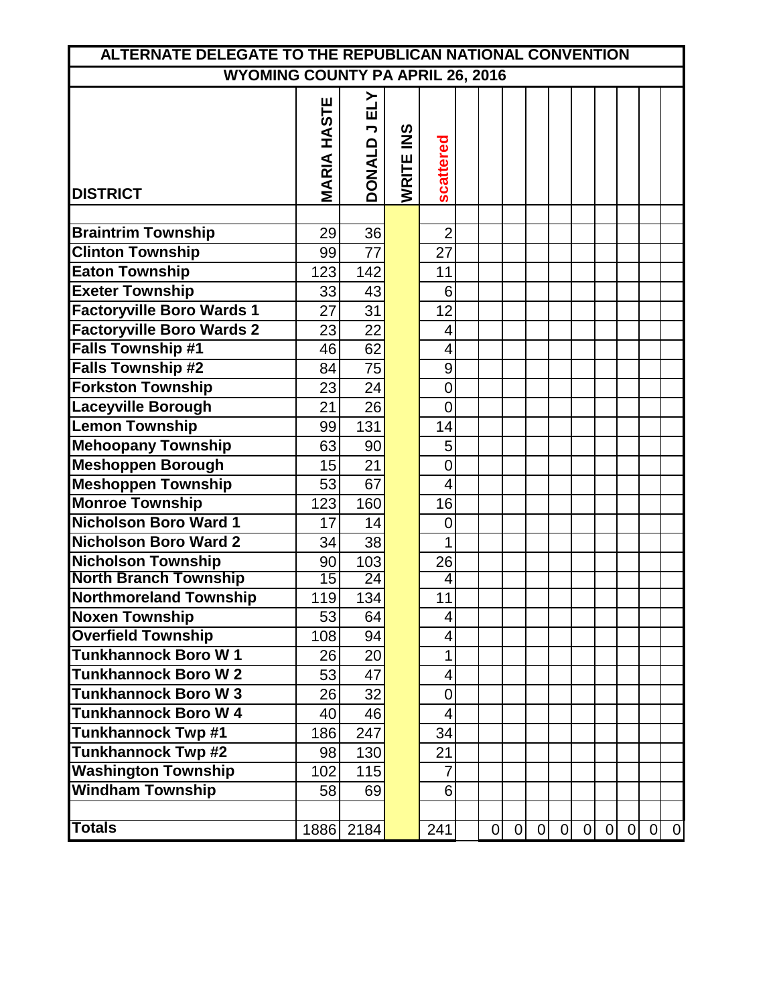| ALTERNATE DELEGATE TO THE REPUBLICAN NATIONAL CONVENTION |                              |                                                  |                        |                         |  |                |                |   |   |   |                |                |                |                 |
|----------------------------------------------------------|------------------------------|--------------------------------------------------|------------------------|-------------------------|--|----------------|----------------|---|---|---|----------------|----------------|----------------|-----------------|
| <b>WYOMING COUNTY PA APRIL 26, 2016</b>                  |                              |                                                  |                        |                         |  |                |                |   |   |   |                |                |                |                 |
| <b>DISTRICT</b>                                          | <b>HASTE</b><br><b>MARIA</b> | ELY<br>$\overline{\phantom{a}}$<br><b>DONALD</b> | $\frac{8}{5}$<br>WRITE | scattered               |  |                |                |   |   |   |                |                |                |                 |
|                                                          |                              |                                                  |                        |                         |  |                |                |   |   |   |                |                |                |                 |
| <b>Braintrim Township</b>                                | 29                           | 36                                               |                        | $\overline{2}$          |  |                |                |   |   |   |                |                |                |                 |
| <b>Clinton Township</b>                                  | 99                           | $\overline{77}$                                  |                        | 27                      |  |                |                |   |   |   |                |                |                |                 |
| <b>Eaton Township</b>                                    | 123                          | 142                                              |                        | 11                      |  |                |                |   |   |   |                |                |                |                 |
| <b>Exeter Township</b>                                   | 33                           | 43                                               |                        | 6                       |  |                |                |   |   |   |                |                |                |                 |
| <b>Factoryville Boro Wards 1</b>                         | 27                           | 31                                               |                        | 12                      |  |                |                |   |   |   |                |                |                |                 |
| <b>Factoryville Boro Wards 2</b>                         | 23                           | 22                                               |                        | 4                       |  |                |                |   |   |   |                |                |                |                 |
| <b>Falls Township #1</b>                                 | 46                           | 62                                               |                        | 4                       |  |                |                |   |   |   |                |                |                |                 |
| <b>Falls Township #2</b>                                 | 84                           | 75                                               |                        | $\mathsf 9$             |  |                |                |   |   |   |                |                |                |                 |
| <b>Forkston Township</b>                                 | 23                           | 24                                               |                        | 0                       |  |                |                |   |   |   |                |                |                |                 |
| <b>Laceyville Borough</b>                                | 21                           | 26                                               |                        | $\overline{0}$          |  |                |                |   |   |   |                |                |                |                 |
| <b>Lemon Township</b>                                    | 99                           | 131                                              |                        | 14                      |  |                |                |   |   |   |                |                |                |                 |
| <b>Mehoopany Township</b>                                | 63                           | 90                                               |                        | 5                       |  |                |                |   |   |   |                |                |                |                 |
| <b>Meshoppen Borough</b>                                 | 15                           | 21                                               |                        | $\overline{0}$          |  |                |                |   |   |   |                |                |                |                 |
| <b>Meshoppen Township</b>                                | 53                           | 67                                               |                        | $\overline{4}$          |  |                |                |   |   |   |                |                |                |                 |
| <b>Monroe Township</b>                                   | 123                          | 160                                              |                        | 16                      |  |                |                |   |   |   |                |                |                |                 |
| <b>Nicholson Boro Ward 1</b>                             | 17                           | 14                                               |                        | $\overline{0}$          |  |                |                |   |   |   |                |                |                |                 |
| <b>Nicholson Boro Ward 2</b>                             | 34                           | 38                                               |                        | 1                       |  |                |                |   |   |   |                |                |                |                 |
| <b>Nicholson Township</b>                                | 90                           | 103                                              |                        | 26                      |  |                |                |   |   |   |                |                |                |                 |
| <b>North Branch Township</b>                             | 15                           | 24                                               |                        | 4                       |  |                |                |   |   |   |                |                |                |                 |
| <b>Northmoreland Township</b>                            | 119                          | 134                                              |                        | 11                      |  |                |                |   |   |   |                |                |                |                 |
| <b>Noxen Township</b>                                    | $\overline{53}$              | 64                                               |                        | 4                       |  |                |                |   |   |   |                |                |                |                 |
| <b>Overfield Township</b>                                | 108                          | 94                                               |                        | $\overline{\mathbf{4}}$ |  |                |                |   |   |   |                |                |                |                 |
| <b>Tunkhannock Boro W1</b>                               | 26                           | 20                                               |                        | 1                       |  |                |                |   |   |   |                |                |                |                 |
| <b>Tunkhannock Boro W2</b>                               | 53                           | 47                                               |                        | 4                       |  |                |                |   |   |   |                |                |                |                 |
| <b>Tunkhannock Boro W3</b>                               | 26                           | 32                                               |                        | $\overline{0}$          |  |                |                |   |   |   |                |                |                |                 |
| <b>Tunkhannock Boro W 4</b>                              | 40                           | 46                                               |                        | 4                       |  |                |                |   |   |   |                |                |                |                 |
| <b>Tunkhannock Twp #1</b>                                | 186                          | 247                                              |                        | 34                      |  |                |                |   |   |   |                |                |                |                 |
| <b>Tunkhannock Twp #2</b>                                | 98                           | 130                                              |                        | 21                      |  |                |                |   |   |   |                |                |                |                 |
| <b>Washington Township</b>                               | 102                          | 115                                              |                        | $\overline{7}$          |  |                |                |   |   |   |                |                |                |                 |
| <b>Windham Township</b>                                  | 58                           | 69                                               |                        | 6                       |  |                |                |   |   |   |                |                |                |                 |
|                                                          |                              |                                                  |                        |                         |  |                |                |   |   |   |                |                |                |                 |
| <b>Totals</b>                                            |                              | 1886 2184                                        |                        | 241                     |  | $\overline{0}$ | $\overline{0}$ | 0 | 0 | 0 | $\overline{0}$ | $\overline{0}$ | $\overline{0}$ | $\vert 0 \vert$ |